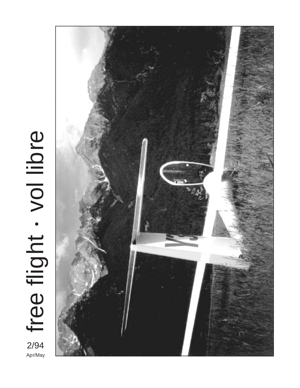

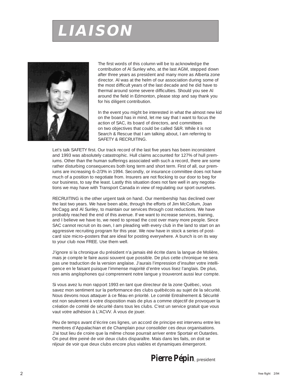# **LIAISON**



The first words of this column will be to acknowledge the contribution of Al Sunley who, at the last AGM, stepped down after three years as president and many more as Alberta zone director. Al was at the helm of our association during some of the most difficult years of the last decade and he did have to thermal around some severe difficulties. Should you see Al around the field in Edmonton, please stop and say thank you for his diligent contribution.

In the event you might be interested in what the almost new kid on the board has in mind, let me say that I want to focus the action of SAC, its board of directors, and committees on two objectives that could be called S&R. While it is not Search & Rescue that I am talking about, I am referring to SAFETY & RECRUITING.

Let's talk SAFETY first. Our track record of the last five years has been inconsistent and 1993 was absolutely catastrophic. Hull claims accounted for 127% of hull premiums. Other than the human sufferings associated with such a record, there are some rather disturbing consequences both long term and short term. First of all, our premiums are increasing 6–2/3% in 1994. Secondly, or insurance committee does not have much of a position to negotiate from. Insurers are not flocking to our door to beg for our business, to say the least. Lastly this situation does not fare well in any negotiations we may have with Transport Canada in view of regulating our sport ourselves.

RECRUITING is the other urgent task on hand. Our membership has declined over the last two years. We have been able, through the efforts of Jim McCollum, Joan McCagg and Al Sunley, to maintain our services through cost reductions. We have probably reached the end of this avenue. If we want to increase services, training, and I believe we have to, we need to spread the cost over many more people. Since SAC cannot recruit on its own, I am pleading with every club in the land to start on an aggressive recruiting program for this year. We now have in stock a series of postcard size micro–posters that are ideal for posting everywhere. A bunch is on its way to your club now FREE. Use them well.

J'ignore si la chronique du président n'a jamais été écrite dans la langue de Molière, mais je compte le faire aussi souvent que possible. De plus cette chronique ne sera pas une traduction de la version anglaise. J'aurais l'impression d'insulter votre intelligence en le faisant puisque l'immense majorité d'entre vous lisez l'anglais. De plus, nos amis anglophones qui comprennent notre langue y trouveront aussi leur compte.

Si vous avez lu mon rapport 1993 en tant que directeur de la zone Québec, vous savez mon sentiment sur la performance des clubs québécois au sujet de la sécurité. Nous devons nous attaquer à ce fléau en priorité. Le comité Entraînement & Sécurité est non seulement à votre disposition mais de plus a comme objectif de provoquer la création de comité de sécurité dans tous les clubs. C'est un service gratuit que vous vaut votre adhésion à L'ACVV. À vous de jouer.

Peu de temps avant d'écrire ces lignes, un accord de principe est intervenu entre les membres d'Appalachian et de Champlain pour consolider ces deux organisations. J'ai tout lieu de croire que la même chose pourrait arriver entre Sportair et Outardes. On peut être peiné de voir deux clubs disparaître. Mais dans les faits, on doit se réjouir de voir que deux clubs encore plus viables et dynamiques émergeront.

## **Pierre Pépin**, president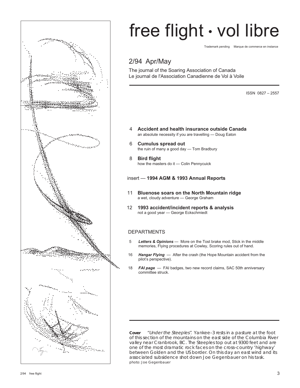

# free flight • vol libre

Trademark pending Marque de commerce en instance

## 2/94 Apr/May

The journal of the Soaring Association of Canada Le journal de l'Association Canadienne de Vol à Voile

ISSN 0827 – 2557

- 4 **Accident and health insurance outside Canada** an absolute necessity if you are travelling — Doug Eaton
- 6 **Cumulus spread out** the ruin of many a good day — Tom Bradbury
- 8 **Bird flight** how the masters do it — Colin Pennycuick
- insert **1994 AGM & 1993 Annual Reports**
- 11 **Bluenose soars on the North Mountain ridge** a wet, cloudy adventure — George Graham
- 12 **1993 accident/incident reports & analysis** not a good year — George Eckschmiedt

## DEPARTMENTS

- 5 *Letters & Opinions* More on the Tost brake mod, Stick in the middle memories, Flying procedures at Cowley, Scoring rules out of hand.
- 16 *Hangar Flying*  After the crash (the Hope Mountain accident from the pilot's perspective).
- 18 *FAI page* FAI badges, two new record claims, SAC 50th anniversary committee struck.

**Cover** "Under the Steeples". Yankee–3 rests in a pasture at the foot of this section of the mountains on the east side of the Columbia River valley near Cranbrook, BC. The Steeples top out at 9300 feet and are one of the most dramatic rock faces on the cross–country 'highway' between Golden and the US border. On this day an east wind and its associated subsidence shot down Joe Gegenbauer on his task. photo: Joe Gegenbauer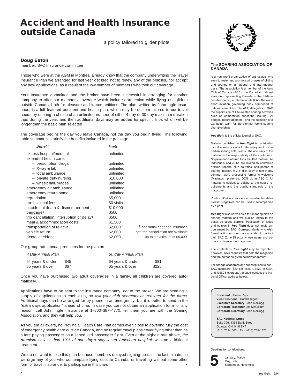## **Accident and Health Insurance outside Canada**

a policy tailored to glider pilots

## **Doug Eaton**

member, SAC Insurance committee

Those who were at the AGM in Montreal already know that the company underwriting the Travel Insurance Plan we arranged for last year decided not to renew any of the policies, nor accept any new applications, as a result of the low number of members who took out coverage.

Your Insurance committee and the broker have been successful in arranging for another company to offer our members coverage which includes protection while flying our gliders outside Canada, both for pleasure and in competitions. The plan, written by John Ingle Insurance, is a full–featured accident and health plan, which may be custom tailored to our travel needs by offering a choice of an unlimited number of either 4 day or 30 day maximum duration trips during the year, and then additional days may be added for specific trips which will be longer than the basic plan selected.

The coverage begins the day you leave Canada, not the day you begin flying. The following table summarizes briefly the benefits included in the package:

| <i>Benefit</i>                                        | limits    |                                     |
|-------------------------------------------------------|-----------|-------------------------------------|
| excess hospital/medical                               | unlimited |                                     |
| extended health care:                                 |           |                                     |
| - prescription drugs                                  | unlimited |                                     |
| - X-ray & lab                                         | unlimited |                                     |
| - local ambulance                                     | unlimited |                                     |
| - private duty nursing                                | \$10,000  |                                     |
| - wheelchair/braces                                   | unlimited |                                     |
| emergency air ambulance                               | unlimited |                                     |
| emergency return home                                 | unlimited |                                     |
| repatriation                                          | \$5,000   |                                     |
| professional fees                                     | 50 visits |                                     |
| accidental death & dismemberment                      | \$10,000  |                                     |
| baggage <sup>1</sup>                                  | \$500     |                                     |
| trip cancellation, interruption or delay <sup>1</sup> | \$500     |                                     |
| meal & accommodation costs                            | \$1,500   |                                     |
| transportation of relative                            | \$2,000   | 1 additional baggage insurance      |
| vehicle return                                        | \$2,000   | and trip cancellation are available |
| dental accident                                       | \$2,000   | up to a maximum of \$5,000.         |
|                                                       |           |                                     |

Our group rate annual premiums for the plan are:

| 4 Day Annual Plan |      | 30 day Annual Plan |       |
|-------------------|------|--------------------|-------|
| 64 years & under  | \$45 | 64 years & under   | \$81  |
| 65 years & over   | \$67 | 65 years & over    | \$225 |

Once you have purchased two adult coverages in a family, all children are covered automatically.

Applications have to be sent to the insurance company, not to the broker. We are sending a supply of applications to each club, so ask your club secretary or treasurer for the forms. Additional days can be arranged for by phone in an emergency, but it is better to send in the "extra days application" ahead of time. In case you cannot obtain an application form for any reason, call John Ingle Insurance at 1–800–387–4770, tell them you are with the Soaring Association, and they will help you.

As you are all aware, no Provincial Health Care Plan comes even close to covering fully the cost of emergency health care outside Canada, and no regular travel plans cover flying other than as a fare paying passenger on a scheduled passenger flight. Even at the highest rate above, the premium is less than 10% of one day's stay in an American hospital, with no additional treatment.

We do not want to lose this plan because members delayed signing up until the last minute, so we urge any of you who contemplate flying outside Canada, or travelling without some other form of travel insurance, to participate in this plan.



## **The SOARING ASSOCIATION OF CANADA**

is a non–profit organization of enthusiasts who seek to foster and promote all phases of gliding and soaring on a national and international basis. The association is a member of the Aero Club of Canada (ACC), the Canadian national aero club representing Canada in the Fédération Aéronautique Internationale (FAI), the world sport aviation governing body composed of national aero clubs. The ACC delegates to SAC the supervision of FAI–related soaring activities such as competition sanctions, issuing FAI badges, record attempts, and the selection of a Canadian team for the biennial World soaring championships.

*free flight* is the official journal of SAC.

Material published in *free flight* is contributed by individuals or clubs for the enjoyment of Canadian soaring enthusiasts. The accuracy of the material is the responsibility of the contributor. No payment is offered for submitted material. All individuals and clubs are invited to contribute articles, reports, club activities, and photos of soaring interest. A 3.5" disk copy of text in any common word processing format is welcome (Macintosh preferred, DOS ok in ASCII). All material is subject to editing to the space requirements and the quality standards of the magazine

Prints in B&W or colour are acceptable. No slides please. Negatives can be used if accompanied by a print.

*free flight* also serves as a forum for opinion on soaring matters and will publish letters to the editor as space permits. Publication of ideas and opinion in *free flight* does not imply endorsement by SAC. Correspondents who wish formal action on their concerns should contact their SAC Zone Director whose name and address is given in the magazine.

The contents of *free flight* may be reprinted; however, SAC requests that both the magazine and the author be given acknowledgement.

For change of address and subscriptions to non– SAC members (\$20 per year, US\$22 in USA, and US\$28 overseas), please contact the National Office, address below.

**President** Pierre Pépin **Vice President** Harald Tilgner **Executive Secretary** Joan McCagg **Corporate Treasurer** Jim McCollum **Corporate Secretary** Joan McCagg

**SAC National Office** Suite 306, 1355 Bank Street Ottawa, ON K1H 8K7 (613) 739-1063 Fax (613) 739-1826

Deadline for contributions:



January, March May, July September, November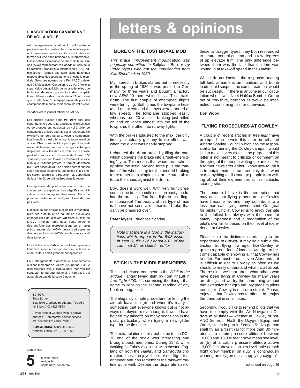## **L'ASSOCIATION CANADIENNE DE VOL A VOILE**

est une organisation à but non lucratif formée de personnes enthousiastes cherchant à développer et à promouvoir le vol à voile sous toutes ses formes sur une base nationale et internationale. L'association est membre de l'Aéro Club du Canada (ACC) représentant le Canada au sein de la Fédération Aéronautique Internationale (FAI), administration formée des aéro clubs nationaux responsables des sports aériens à l'échelle mondiale. Selon les normes de la FAI, l'ACC a délégué à l'Association Canadienne de Vol à Voile la supervision des activités de vol à voile telles que tentatives de records, sanctions des compétitions, délivrance des brevets de la FAI etc. ainsi que la sélection d'une équipe nationale pour les championnats mondiaux biennaux de vol à voile.

### *vol libre* est le journal officiel de l'ACVV.

Les articles publiés dans *vol libre* sont des contri-butions dues à la gracieuseté d'individus ou de groupes enthousiastes du vol à voile. Le contenu des articles soumis est la responsabilité exclusive de leurs auteurs. Aucune compensation financière n'est offerte pour la fourniture d'un article. Chacun est invité à participer à la réalisation de la revue, soit par reportages, échanges d'opinions, activités dans le club, etc. Le texte peut être soumis sur disquette de format 3.5" sous n'importe quel format de traitement de texte bien que l'éditeur préfère le format Macintosh (DOS est acceptable). Les articles seront publiés selon l'espace disponible. Les textes et les photos seront soumis à la rédaction et, dépendant de leur intérêt, seront insérés dans la revue.

Les épreuves de photos en noir et blanc ou couleur sont acceptables. Les négatifs sont utilisables si accompagnés d'épreuves. Nous ne pouvons malheureusement pas utiliser de diapositives.

L'exactitude des articles publiés est la responsabilité des auteurs et ne saurait en aucun cas engager celle de la revue *vol libre*, ni celle de l'ACVV ni refléter leurs idées. Toute personne désirant faire des représentations sur un sujet précis auprès de l'ACVV devra s'adresser au directeur régional de l'ACVV dont le nom apparait dans la revue.

Les articles de *vol libre* peuvent être reproduits librement, mais la mention du nom de la revue et de l'auteur serait grandement appréciée.

Pour changements d'adresse et abonnements aux non membres de l'ACVV (\$20 par an, EU\$22 dans les Etats Unis, et EU\$28 outre–mer) veuillez contacter le bureau national à l'adresse qui apparait au bas de la page à gauche.

## **EDITOR**

Tony Burton Box 1916 Claresholm, Alberta T0L 0T0 tel & fax: (403) 625-4563

Any service of Canada Post to above address. Commercial courier service, c/o "Claresholm Local Press".

**COMMERCIAL ADVERTISING** National Office (613) 739-1063

Date limite:



janvier, mars mai, juillet **5** septembre, novembre

# **letters & opinions**

## **MORE ON THE TOST BRAKE MOD**

This brake improvement modification was originally submitted to Sailplane Builder by Peter Myers who got the modification from Karl Striedieck in 1980.

My interest in brakes started out of necessity in the spring of 1980. I was posted to Germany for three years and bought a factory new ASW–20 there which has a Tost brake drum. The first couple of attempted flights were terrifying. Both times the towplane hesitated on takeoff and the tows were aborted at low speed. The towplane stopped easily whereas the –20 with full braking just rolled on and on, once almost into the tail of the towplane, the other into runway lights.

With the brakes adjusted to the max, the only time you actually got any brake effect was when the glider was nearly stopped!

I changed the drum brake by filing the cam which converts the brake into a "self–energizing" type. This means that when the brake is applied the initial braking force plus the rotation of the wheel supplies the needed braking force rather than simple pilot brute strength to force the shoes against the drum.

Boy, does it work well. With very light pressure on the brake handle one can easily modulate the braking effort from light to skidding– on–concrete! The beauty of this type of mod is I have not seen a mechanical brake that can't be changed over.

## **Peter Myers**, Bluenose Soaring

Note that there is a typo in the instructions which appear in the 5/93 issue. In step 3, file away about 40% of the cam, not 1/4 as stated. editor

## **STICK IN THE MIDDLE MEMORIES**

This is a belated comment to the Stick in the Middle Hangar Flying item by Tom Knauff in free flight 6/93. It's surprising the things that come to light on the second reading of any book or magazine!

The elegantly simple procedure for letting the aircraft leave the ground when it's ready is something that everyone knows but is not always employed or even taught. It would have helped my takeoffs on many occasions in the past, particularly when trying a new glider type for the first time.

The extrapolation of this technique to the DC– 10 end of the scale was interesting and brought back memories. During 1943, while working for Fairey Aviation in Manchester, England on both the Halifax and Barracuda production lines, I enjoyed the role of flight test engineer and can remember the take–off routine quite well. Despite the disparate size of these taildragger types, they both responded to neutral control column and a few degrees of up elevator trim. The only difference between them was the fact that the trim was wound in at take–off speed in the Halifax.

What I do not know is the response bearing full fuel, armament, ammunition, and bomb loads, but I suspect the same treatment would be successful. If there is anyone in our circulation who flew in No 4 Halifax Bomber Group out of Yorkshire, perhaps he would be interested in confirming this, or otherwise.

## **Don Wood**

## **FLYING PROCEDURES AT COWLEY**

A couple of recent articles in free flight have prompted me to write this letter on behalf of Alberta Soaring Council which has the responsibility for running the Cowley camps. I would like to make it very clear — the purpose of this letter is not meant to criticize or comment on the flying of the people writing the articles. As a former newsletter editor I know how tough it is to obtain material, so I certainly don't want to do anything to discourage people from writing about their experiences at this fantastic soaring site.

The concern I have is the perception that may arise that flying procedures at Cowley have become lax and may contribute to a less than safe flying environment. Our goal for pilots flying at Cowley is to enjoy this site to the fullest but always with the need for safety uppermost and a recognition of the pilot's own limits based on their level of experience at Cowley.

Please note the distinction pertaining to the experience at Cowley. It may be a subtle distinction, but flying in a region like Cowley requires a great deal of local knowledge to become capable of enjoying all that Cowley has to offer. For most of us — even Albertans — it is difficult to get to Cowley as often as we should to really understand what it's all about. The result is we hear about what others who have been flying at Cowley for many years are doing and we try the same thing without that extensive background. My pleas to pilots coming to Cowley is one of restraint. Please, enjoy all that Cowley has to offer — but enjoy the banquet in small bites.

Secondly, I would like to remind pilots that we have to comply with the Air Navigation Orders at all times — whether at Cowley or not. ANO Series II, No.9, the Oxygen Equipment Order, states in part in Section 5: "No person shall fly an aircraft (a) for more than 30 minutes at a cabin pressure altitude between 10,000 and 13,000 feet above mean sea level, or (b) at a cabin pressure altitude above 13,000 feet above mean sea level, unless each flight crew member on duty is continuously wearing an oxygen mask supplying oxygen".

continued on page 16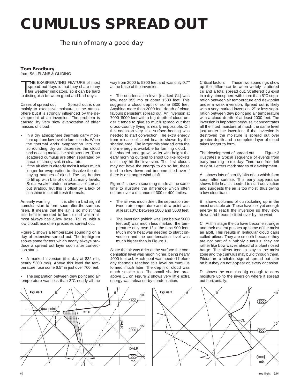# **CUMULUS SPREAD OUT**

The ruin of many a good day

## **Tom Bradbury**

from SAILPLANE & GLIDING

THE EXASPERATING FEATURE of most<br>spread out days is that they share many<br>fair weather indicators, so it can be hard<br>to distinguish between good and bad days spread out days is that they share many to distinguish between good and bad days.

Cases of spread out Spread out is due mainly to excessive moisture in the atmosphere but it is strongly influenced by the development of an inversion. The problem is caused by very slow evaporation of older masses of cloud.

- In a dry atmosphere thermals carry moisture up from low level to form clouds. When the thermal ends evaporation into the surrounding dry air disperses the cloud and cooling makes the sink stronger. Thus scattered cumulus are often separated by areas of strong sink in clear air.
- If the air aloft is already moist it takes much longer for evaporation to dissolve the decaying patches of cloud. The sky begins to fill up with bits of cloud at many levels. Sink is weaker under an overcast of spread out stratocu but this is offset by a lack of sunshine to set off fresh thermals.

An early warning It is often a bad sign if cumulus start to form soon after the sun has risen. It means that the air is so moist that little heat is needed to form cloud which almost always has a low base. Tall cu with a low cloudbase often precedes spread out.

Figure 1 shows a temperature sounding on a day of extensive spread out. The tephigram shows some factors which nearly always produce a spread out layer soon after convection starts:

• A marked inversion (this day at 832 mb, nearly 5300 msl). Above this level the temperature rose some 6.5° in just over 700 feet.

• The separation between dew point and air temperature was less than 2°C nearly all the

 $\overline{\text{dew point}}$   $\overline{\text{temp}}$  temp 1000 mb  $(900)$  $(800)$ 10 15 **SALR** DALR **Figure 1 CL** 

way from 2000 to 5300 feet and was only 0.7° at the base of the inversion.

The condensation level (marked CL) was low, near 955 mb or about 1500 feet. This suggests a cloud depth of some 3800 feet. Anything more than 2000 feet depth of cloud favours persistent spread out. An inversion at 7000–8000 feet with a big depth of cloud under it tends to give so much spread out that cross–country flying is nearly impossible. On this occasion very little surface heating was needed to start convection. The extra energy from release of latent heat is shown by the shaded area. The larger this shaded area the more energy is available for forming cloud. If the shaded area grows wider with height the early morning cu tend to shoot up like rockets until they hit the inversion. The first clouds may not have the energy to go so far; these tend to slow down and become tilted over if there is a stronger wind aloft.

Figure 2 shows a sounding made at the same time to illustrate the difference which often occurs over a distance of 300 or 400 miles.

- The air was much drier, the separation between air temperature and dew point was at least 10°C between 1000 and 5000 feet.
- The inversion (which was just below 5000 feet asl) was much less marked; the temperature only rose 1° in the next 900 feet. Much more heat was needed to start convection and the condensation level was much higher than in Figure 1.

Since the air was drier at the surface the condensation level was much higher, being nearly 4000 feet asl. Much heat was needed before any thermals reached this level so cumulus formed much later. The depth of cloud was much smaller too. The small shaded area above CL on Figure 2 shows very little extra energy was released by condensation.

Critical factors These two soundings show up the difference between widely scattered cu and a total spread out. Scattered cu exist in a dry atmosphere with more than 5°C separation between air temperature and dew point under a weak inversion. Spread out is likely with a very marked inversion, 2° or less separation between dew point and air temperature with a cloud depth of at least 2000 feet. The inversion is important because it concentrates all the lifted moisture at much the same level just under the inversion. If the inversion is destroyed the moisture is spread out over greater depth and a complete layer of cloud takes longer to form.

The development of spread out Figure 3 illustrates a typical sequence of events from early morning to midday. Time runs from left to right. Letters mark stages of development.

A shows lots of scruffy bits of cu which form soon after sunrise. This early appearance shows little heat is needed to start convection and suggests the air is too moist, thus giving a low cloudbase.

B shows columns of cu rocketing up in the moist unstable air. These have not yet enough energy to reach the inversion so they slow down and become tilted over by the wind.

C At this stage the cu have become stronger and their ascent pushes up some of the moist air aloft. This results in lenticular cloud caps called pileus. They are smooth because they are not part of a bubbly cumulus; they are rather like bow waves ahead of a blunt nosed barge. The pileus tend to stay in the moist zone and the cumulus may build through them. Pileus are a reliable sign of spread out later on but they do not appear on every occasion.

D shows the cumulus big enough to carry moisture up to the inversion where it spread out horizontally.

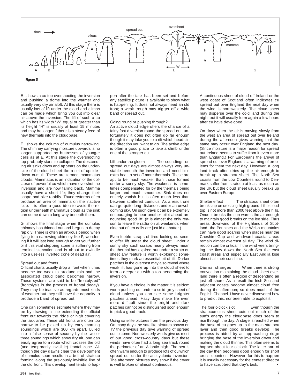

E shows a cu top overshooting the inversion and pushing a dome into the warmer and usually very dry air aloft. At this stage there is usually lots of lift under the cloud and climbs can be made which bring you out into clear air above the inversion. The lift of such a cu which has its width "W" equal or greater than its height "H" is usually at least 15 minutes and may be longer if there is a steady feed of new thermals into the cloudbase.

F shows the column of cumulus narrowing. The chimney carrying moisture upwards is no longer supported by buttresses of younger cells as at E. At this stage the overshooting top probably starts to collapse. The descending air sinks down and appears on the underside of the cloud sheet like a set of upside– down cumuli. These are termed mammatus clouds. Mammatus is an indication of the collapse of powerful cu which have overshot the inversion and are now falling back. Mamma usually have a short life; they change their shape and size rapidly. Thunderstorms often produce an area of mamma on the inactive side. It is often a good idea to avoid the region underneath mammatus cloud as the sink can come down a long way beneath them.

G shows the final stage when the cumulus chimney has thinned out and begun to decay rapidly. There is often an anxious period when flying to a narrowing chimney like F, wondering if it will last long enough to get you further or if this vital stepping stone is suffering from terminal starvation and is about to dwindle into a useless inverted cone of dead air.

## Spread out and fronts

Official charts usually drop a front when it has become too weak to produce rain and the associated cloud band becomes narrow. These systems are said to be "frontolyzed" (frontolysis is the process of frontal decay). They may be inactive as regards most kinds of weather but they still have the capacity to produce a band of spread out.

One can sometimes estimate where they may be by drawing a line extending the official front out towards the ridge or high covering the task area. These old fronts are often too narrow to be picked up by early morning soundings which are 300 km apart. Lulled into a false sense of security by the two or three soundings which show dry air, one can easily agree to a route which crosses the old (and temporarily invisible) frontal zone. Although the day dawns clear the development of cumulus soon results in a belt of stratocu forming along the previously invisible line of the old front. This development tends to happen after the task has been set and before any satellite picture is available to show what is happening. It does not always need an old front; a weak trough may trigger off a wide band of spread out.

### Going round or pushing through?

An active cloud edge offers the chance of a fairly fast diversion round the spread out; unfortunately it does not often go far enough though it may take you to a rift which heads in the direction you want to go. The active edge is often a good place to take a climb under one of the stronger cu.

Lift under the gloom The soundings on spread out days are almost always very unstable beneath the inversion and need little extra heat to set off more thermals. These are apt to be much weaker than those formed under a sunny sky. The weakness is sometimes compensated for by the thermals being larger and much smoother. Sink does not entirely vanish but is often much less than between scattered cumulus. As a result one can go quite long distances under an unwelcoming sky. On such days it can be extremely encouraging to hear another pilot ahead announcing good lift. (It is almost the only reason to leave the radio on at weekends when nine out of ten calls are just idle chatter.)

Even feeble scraps of tired looking cu seem to offer lift under the cloud sheet. Under a sunny sky such scraps nearly always mean the thermal has expired but under a strato cu sheet any feature is worth exploring; sometimes they mark an essential bit of lift. Darker patches in the overcast may also reveal where weak lift has gone up into the cloud sheet to form a deeper cu with a top penetrating the inversion.

If you have a choice in the matter it is seldom worth pushing out under a solid grey sheet of cloud unless you can see some brighter patches ahead. Hazy days make life even more difficult since the bright and dark patches cannot be distinguished soon enough to pick a good track.

## Using satellite pictures from the previous day

On many days the satellite pictures shown on TV the previous day give warning of spread out to come. Northwesterly winds give us most of our good cross–country days but these winds have often had a long sea track round the perimeter of an Atlantic high. The sea is often warm enough to produce lots of cu which spread out under the anticyclonic inversion. The afternoon pictures may show if the cover is well broken or almost continuous.

A continuous sheet of cloud off Ireland or the west coast of Scotland often indicates cu spread out over England the next day when the wind is northwesterly. The cloud sheet may disperse over the cold land during the night but it will usually form again a few hours after cu have developed.

On days when the air is moving slowly from the west an area of spread out over Ireland during the afternoon gives warning that the same may occur over England the next day. (Since moisture is a major reason for spread out Ireland seems to suffer from it even more than England.) For Europeans the arrival of spread out over England is a warning of problems for them the next day. However, a long land track often dries up the air enough to break up a stratocu sheet. The North Sea coasts from the Low Countries round to Denmark suffer from stratocu at least as much as the UK but the cloud sheet usually breaks up over Eastern Europe.

Shelter effect The stratocu sheet often breaks up on crossing high ground if the cloud top is not more than 2000 feet above the hills. Once it breaks the sun warms the air enough to maintain good breaks on the lee side. Thus areas downwind of the Highlands of Scotland, the Pennines and the Welsh mountains can have good soaring when places near the Cheshire Gap and windward coastal areas remain almost overcast all day. The wind direction can be critical; if the wind veers bringing the flow down the North Sea the east coast areas and especially East Anglia lose almost all their sunshine.

Diurnal changes When there is strong convection maintaining the cloud sheet overland there is often a region of descending air just off shore. As a result the Irish Sea and adjacent coasts become almost cloud free during the afternoon; so does much of the English Channel. I have never discovered how to predict this, nor been able to exploit it.

The four o'clock slot Even though the stratocumulus sheet cuts out much of the sun's energy the cloudbase does seem to rise through the day. A stage is reached when the base of cu goes up to the main stratocu layer and then good breaks develop. The process is aided by an approaching ridge bringing the base of the inversion down and making the cloud thinner. This often seems to happen about four o'clock. The latter part of the day then becomes good enough for short cross–countries. However, for this to happen it is usually necessary for the contest director to have scrubbed that day's task.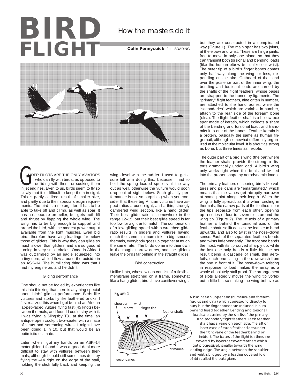# **BIRD** FLIGH

**Colin Pennycuick** from SOARING



 LIDER PILOTS ARE THE ONLY AVIATORS who can fly with birds, as opposed to colliding with them, or sucking them LIDER PILOTS ARE THE ONLY AVIATORS<br>who can fly with birds, as opposed to<br>colliding with them, or sucking them<br>in jet engines. Even to us, birds seem to fly so slowly that it is difficult to keep them in sight. This is partly a direct result of smaller size, and partly due to their special design requirements. The bird is a motorglider. It has to be able to take off and climb, as well as soar. It has no separate propeller, but gets both lift and thrust by flapping the whole wing. The wing has to be big enough to support and propel the bird, with the modest power output available from the light muscles. Even big birds therefore have wing loadings far below those of gliders. This is why they can glide so much slower than gliders, and are so good at turning in very small circles. Once in Africa I was outclimbed by an eagle squeezed into a tiny core, while I flew around the outside in an ASK–14. The humiliating thing was that I had my engine on, and he didn't.

## Gliding performance

One should not be fooled by experiences like this into thinking that there is anything special about birds' gliding performance. Birds like vultures and storks fly like feathered bricks. I first realized this when I got behind an African lappet–faced vulture flying fast (45 knots) between thermals, and found I could stay with it. I was flying a Slingsby T31 at the time, an antique open cockpit two–seater with a maze of struts and screaming wires. I might have been doing 1 in 10, but that would be an optimistic estimate.

Later, when I got my hands on an ASK–14 motorglider, I found it was a good deal more difficult to stay with vultures between thermals, although I could still sometimes do it by flying the –14 right on the edge of the stall, holding the stick fully back and keeping the wings level with the rudder. I used to get a sore left arm doing this, because I had to hold the spring loaded spoilers all the way out as well, otherwise the vulture would soon drop out of sight below. Such ghastly performance is not so surprising when you consider that these big African vultures have aspect ratios around eight, and a thin, strongly cambered wing section, like a hang glider. Their best glide ratio is somewhere in the range 12–15, but their best glide speed is far too low for a glider to match. The combination of a low gliding speed with a wretched glide ratio results in gliders and vultures having much the same minimum sink. In big, smooth thermals, everybody goes up together at much the same rate. The birds come into their own in the rough, narrow cores, and the gliders leave the birds far behind in the straight glides.

## Bird construction

Unlike bats, whose wings consist of a flexible membrane stretched on a frame, somewhat like a hang glider, birds have cantilever wings,



but they are constructed in a complicated way (Figure 1). The main spar has two joints, at the elbow and wrist. These are hinge joints, free to move in only one plane, so that they can transmit both torsional and bending loads (like the human elbow but unlike our wrist). The outer tip of a bird's finger bones comes only half way along the wing, or less, depending on the bird. Outboard of that, and over the posterior part of the inner wing, the bending and torsional loads are carried by the shafts of the flight feathers, whose bases are strapped to the bones by ligaments. The "primary" flight feathers, nine or ten in number, are attached to the hand bones, while the "secondaries" which are variable in number, attach to the rear side of the forearm bone (ulna). The flight feather shaft is a hollow box spar made of keratin, which collects a share of the bending and torsional load, and transmits it to one of the bones. Feather keratin is a protein, basically the same as human fingernail, although somewhat differently organized at the molecular level. It is about as strong as bone, but three times as flexible.

The outer part of a bird's wing (the part where the feather shafts provide the strength) distorts dramatically under load. A bird's wing only works right when it is bent and twisted into the proper shape by aerodynamic loads.

The primary feathers of soaring birds like vultures and pelicans are "emarginated," which means that the vanes get abruptly narrower at some point along their length. When the wing is fully spread, as it is when circling in thermals, the narrow parts of the feathers near the tips separate from each other, opening up a series of four to seven slots around the wing tip (Figure 2). The lift axis of a primary feather is behind the torsional axis of the feather shaft, so lift causes the feather to bend upwards, and also to twist in the nose–down sense. Each of the separated feathers bends and twists independently. The front one bends the most, with its tip curved sharply up, while the last one only bends a little bit, the net result being a cascade of small, thin aerofoils, each one sitting in the downwash from the one in front of it. The nose–down twisting in response to load makes the array as a whole absolutely stall proof. The arrangement of slots allegedly moves the wing tip vortex out a little bit, so making the wing behave as

A bird has an upper arm (humerus) and forearm (radius and ulna) which correspond directly to ours, but the finger bones are reduced in number and fused together. Bending and torsional loads are carried by the shafts of the primary and secondary flight feathers. Each feather shaft has a vane on each side. The aft or inner vane of each feather slides under the front vane of the feather behind or inside it. The bases of the flight feathers are covered by layers of covert feathers which get progressively smaller towards the wing leading edge. The angle between the shoulder and wrist is bridged by a feather covered fold of skin called the patagium.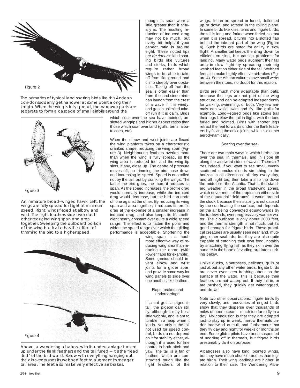

The primaries of typical land soaring birds like this Andean con-dor suddenly get narrower at some point along their length. When the wing is fully spread, the narrower parts are separate to form a cascade of small airfoils around the



An immature broad–winged hawk. Left: the wings are fully spread for flight at minimum speed. Right: wings flexed at elbow and wrist. The flight feathers slide over each other reducing wing span and area together. Sweeping the outboard portion of the wing back also has the effect of trimming the bird to a higher speed.

though its span were a little greater than it actually is. The resulting reduction of induced drag may not be much, but every bit helps if your aspect ratio is around eight. These slotted tips are de rigeur in land soaring birds like vultures and storks, birds which require rather broad wings to be able to take off from flat ground and climb steeply over obstacles. Taking off from the sea is often easier than from the land since birds can launch from the crest of a wave if it is windy, and get an unlimited takeoff run if it is calm. Birds

which soar over the sea have pointed, unslotted wingtips and higher aspect ratios than those which soar over land (gulls, terns, albatrosses, etc).

When the elbow and wrist joints are flexed the wing planform takes on a characteristic cranked shape, reducing the wing span (Figure 3). Neighbouring feathers overlap more than when the wing is fully spread, so the wing area is reduced too, and the wing tip slots, if any, close up. The centre of pressure moves aft, so trimming the bird nose–down and increasing its speed. Speed is controlled not by the tail, but by cranking the wings. The faster the bird goes, the more it reduces its span. As the speed increases, the profile drag would normally increase, while the induced drag would decrease, but the bird can trade off one against the other. By reducing its wing span and area together, it reduces its profile drag at the expense of a smaller increase in induced drag, and also keeps its lift coefficient nearly constant over quite a wide speed range. The effect is to flatten the polar and widen the speed range over which the gliding performance is acceptable. Shortening the



Above, a wandering albatross with its undercarriage tucked up under the flank feathers and the tail furled — it's the "lead sled" of the bird world. Below with everything hanging out, the alba-tross uses its webbed feet to augment its meager tail area. The feet also make very effective air brakes.

wing span is a much more effective way of reducing wing area than reducing the chord (with Fowler flaps for example). Some genius should invent elbow and wrist joints for a glider spar, and provide some way for wing panels to slide over one another, like feathers.

## Flaps, brakes and undercarriage

If a cat gets a pigeon's tail, the pigeon can still fly, although it may be a little wobbly, and is apt to tumble in a heap when it lands. Not only is the tail not used for speed control, birds do not depend on it for stability either, although it is used for fine control in both pitch and yaw. The tail is a fan of feathers which are constructed much like the flight feathers of the wings. It can be spread or furled, deflected up or down, and rotated in the rolling plane. In some birds like kites, terns and frigate birds, the tail is long and forked when furled, so that when it is spread, it turns into a slotted flap behind the inboard part of the wing (Figure 4). Such birds are noted for agility in slow flight. A smaller tail keeps the drag down for efficient cruising, but causes problems for landing. Many water birds augment their tail area in slow flight by spreading their big webbed feet on either side of the tail. Webbed feet also make highly effective airbrakes (Figure 4). Some African vultures have small webs between their toes, no doubt for this reason.

Birds are much more adaptable than bats, because the legs are not part of the wing structure, and can be adapted independently for walking, swimming, or both. Very few animals can walk, swim and fly, like gulls for example. Long–legged birds like storks trail their legs below the tail in flight, with the toes furled and pointed. Birds with shorter legs retract the feet forwards under the flank feathers by flexing the ankle joints, which is cleaner aerodynamically.

## Soaring over the sea

There are two main ways in which birds soar over the sea; in thermals, and in slope lift along the windward sides of waves. Thermals? Yes indeed. If you want to see small, evenly scattered cumulus clouds stretching to the horizon in all directions, all day every day, and all night too, then take a ship trip down the middle of the Atlantic. That is the standard weather in the broad tradewind zones, which cover most of the tropics on either side of the equatorial "doldrums". It works around the clock, because the instability is not caused by the sun heating the surface, but depends on the air being convected equatorwards by the tradewinds, over progressively warmer water. The cloudbase is only about 2000 feet, and the thermal strength is not much, but it's good enough for frigate birds. These practical creatures are usually seen near land, mugging other seabirds, but they are also quite capable of catching their own food, notably by snatching flying fish as they skim over the surface in the hope of evading predators lurking below.

Unlike ducks, albatrosses, pelicans, gulls or just about any other water birds, frigate birds are never ever seen bobbing about on the surface of the water. This is because their feathers are not waterproof. If they fall in, or are pushed, they quickly get waterlogged, and drown.

Note two other observations: frigate birds fly very slowly, and recoveries of ringed birds show that they disperse over thousands of miles of open ocean — much too far to fly in a day. My conclusion is that they are adapted just to stay up in weak, narrow thermals under tradewind cumuli, and furthermore that they fly day and night for weeks or months on end. Some glider pilots have been suspected of nodding off in thermals, but frigate birds presumably do it on purpose.

Albatrosses also have long, pointed wings, but they have much chunkier bodies than frigate birds. Their wing loadings are higher, in relation to their size. The Wandering Alba-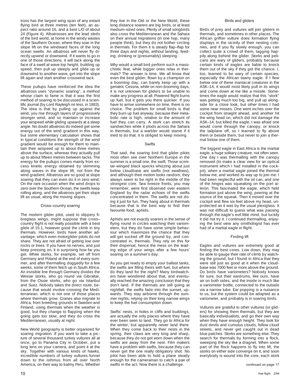tross has the largest wing span of any extant flying bird at three metres (ten feet), an aspect ratio around 16, and a best L/D of about 24 (Figure 4). Albatrosses are the lead sleds of the bird world, at home in the windy wastes of the Southern Ocean, where they soar in the slope lift on the windward faces of the long ocean swells. An albatross will never fly directly upwind or downwind. If it wants to go in one of those directions, it will tack along the face of a swell at wave top height, building up speed, then pull up steeply and glide up or downwind to another wave, get into the slope lift again and start another crosswind tack.

These pullups have reinforced the idea the albatross uses "dynamic soaring", a method whose claim to fame is that it was the first method of soaring to be discussed in a scientific journal (by Lord Rayleigh no less, in 1883). The idea is that by pulling up against the wind, you rise through layers of progressively stronger wind, and so maintain or increase your airspeed while gliding upwards at a steep angle. No doubt albatross do indeed get some energy out of the wind gradient in this way, but some elementary calculation shows that in typical conditions the strength of the wind gradient would be enough for them to maintain their airspeed up to about three metres above the surface, whereas they actually pull up to about fifteen metres between tacks. The energy for the pullups comes mainly from excess kinetic energy obtained by skimming along waves in the slope lift, not from the wind gradient. Albatross are so good at slope soaring that they can even do it in zero wind. On the rare occasion when the wind drops to zero over the Southern Ocean, the swells keep rolling along, and the albatross get their slope lift as usual, along the moving slopes.

## Cross–country soaring

The modern glider pilot, used to slippery fibreglass wings, might suppose that cross– country flight is not really possible with a best glide of 15:1, however good the climb in tiny thermals. However, birds have another advantage, which even motorglider pilots do not share. They are not afraid of getting low over rocks or trees. If you have no nerves, and just keep pressing on, it is surprising how far you get. White storks, for example, set off from Germany and Poland at the end of every summer, and after thermalling doggedly for a few weeks, some of them fetch up in South Africa. An invisible line through Germany divides the Wessie storks, who go round via Gibraltar, from the Ossie storks, who go via Istanbul and Suez. Nobody takes the direct route, because that would involve crossing the Mediterranean, which is not one of those places where thermals grow. Cranes also migrate to Africa, from breeding grounds in Sweden and Finland, using thermals when the weather is good, but they change to flapping when the going gets too slow, and they do cross the Mediterranean, usually at night.

New World geography is better organized for soaring migration. If you want to take a picture of several thousand turkey vultures all at once, go to Panama City in October, put a long lens on your camera, and point it at the sky. Together with various kinds of hawks, incredible numbers of turkey vultures funnel down to the isthmus from all over North America, on their way to balmy Peru. Whether

they live in the Old or the New World, these long distance soarers are big birds, or at least medium–sized ones. Plenty of small songbirds also cross the Mediterranean and the Sahara on their annual migrations (in one hop, many people think), but they do not bother circling in thermals. For them it is steady flap–flap for three days and nights, without landing, feeding, drinking or (presumably) sleeping.

Why would a small bird perform such a masochistic feat, while bigger ones relax in thermals? The answer is time. We all know that even the best glider, flown by a champion on a booming day, can barely keep up with a geriatric Cessna, while on non–booming days, it is not unknown for gliders to be unable to make any progress at all. Powered flight burns up fuel, but it gets you there quicker. If you have to arrive somewhere on time, there is no choice. The problem for small birds is that they burn up fuel anyway, because their metabolic rate is high, relative to the amount of fuel they can carry. A stork can stretch its sandwiches while it plods across the Sahara in thermals, but a warbler would starve if it tried to do that. It is obliged to keep moving.

## **Swifts**

That said, the soaring bird that glider pilots most often see over Northern Europe in the summer is a small one, the swift. Those scimitar–winged black specks whizzing about just below cloudbase are swifts (not swallows), and although their motion looks random, they always seem to be right in the middle of the strongest core. Sea breeze fronts, you may remember, were first observed over eastern England by the radar echoes of the swifts concentrated in them. The swifts are not doing it just for fun. They hang about in thermals because that is the best way to find their favourite food, aphids.

Aphids are not exactly soarers in the sense of flying round in circles watching their variometers, but they do have some simple behaviour which maximizes the chance that they will get sucked off the ground by, and concentrated in, thermals. They rely on this for their dispersal, hence the mess on the leading edge of your wings after a few hours' soaring on a summer's day.

As you get ready to empty your ballast tanks, the swifts are filling theirs with fuel, but where do they land for the night? Many birdwatchers have wondered about that, and eventually reached the amazing conclusion that they don't land. If the thermals are still going at nightfall, the swifts fade into the sunset, upwards. They stay airborne through the summer nights, relying on their long narrow wings to keep the fuel consumption down.

Swifts' nests, in holes in cliffs and buildings, are actually the only places where they have ever been seen to land. They go to Africa for the winter, but apparently never land there. When they come back to their nests in the spring, their claws are very long and sharp, because they do not get worn down when the swifts are away from the nest. Film makers have a problem with swifts, because they can never get the one really obligatory shot. No pilot has been able to hold a plane steady enough for the cameraman to catch a pair of swifts in the act. Now there is a challenge.

### Birds and gliders

Birds of prey and vultures will join gliders in thermals, and sometimes in other places. The African griffon vulture does formation flying displays in the vicinity of their nesting colonies, and if you fly slowly enough, you can collect quite a crowd of them, tagging happily along behind the glider. Storks and pelicans are wary of gliders, probably because certain kinds of eagles are liable to knock them out of the sky if they get the chance. I, too, learned to be wary of certain species, especially the African tawny eagle. If I flew below one of these maniacal creatures in the ASK–14, it would most likely pull in its wings and come down at me like a missile. Sometimes the eagle would realize that this "stork" was getting much too big, and pull up alongside for a close look, but other times I had some near misses. One went inches over the cockpit from straight ahead, and another hit the wing head on, which did not damage the ASK–14, but killed the eagle. I was afraid one would come through the canopy, or knock the tailplane off, so I learned to fly above them or beside them, but never to join a thermal below one of them.

The biggest eagle in East Africa is the martial eagle, a huge solitary creature, not often seen. One day I was thermalling with the canopy removed (to make a clear view for an optical instrument which I had installed in the cockpit), when a martial eagle joined the thermal below me, and worked its way up to join me. I had been neglectful with the oil can, and one of the hinges was squeaking on the port aileron. This fascinated the eagle, which held formation just above the wing, peering at the source of the squeak. Then it moved over the cockpit and flew six feet above my head, unprotected as it was by the usual plexiglass. It was not difficult to guess what was passing through the eagle's evil little mind, but luckily it did not try it. I continued thermalling, enjoying the best view any ornithologist has ever had of a martial eagle in flight.

## Finding lift

Eagles and vultures are extremely good at finding the best cores. Low down, they may be able to gauge their rate of climb by watching the ground, but I found in Africa that they were still just as good at it when the cloudbase was 7000 feet or more above the ground. Do birds have variometers? Nobody knows for sure, but their eardrums, like ours, have air on both sides, and the inside is much like a variometer bottle, connected to the outside via a narrow tube. Ear popping is a nuisance to us, but the system could be adapted as a variometer, and probably is in soaring birds.

Vultures are grateful to other vultures (or gliders) for showing them thermals, but they are basically individualists, and go their own way when they have enough height. They look for dust devils and cumulus clouds, follow cloud streets, and never get caught out in dead blue patches. Storks are something else. They search for thermals by forming into a flock, sweeping the sky like a dragnet. When some part of the flock happens to fly into lift, the storks on either side converge on it, and soon everybody is wound into the core, each stork

continued on page 17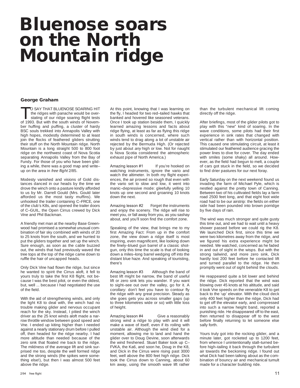# **Bluenose soars on the North Mountain ridge**

## **George Graham**

TO SAY THAT BLUENOSE SOARING HIT<br>the ridges with panache would be over-<br>stating of our ridge soaring flight tests<br>of 1993. But with the south winds of Novemthe ridges with panache would be overstating of our ridge soaring flight tests of 1993. But with the south winds of November huffing and puffing, a cluster of hardy BSC souls trekked into Annapolis Valley with high hopes, modestly determined to at least join the flocks of feathered gliders strutting their stuff on the North Mountain ridge. North Mountain is a long straight 500 to 800 foot ridge on the northwest coast of Nova Scotia separating Annapolis Valley from the Bay of Fundy. For those of you who have been gliding a while, there was a good map and write– up on the area in free flight 2/85.

Modesty vanished and visions of Gold distances danced in our heads by the time we drove the winch onto a pasture kindly afforded to us by Mr. Darrell Gould (Mrs. Gould later afforded us the most tasty muffins). We unhooked the trailer containing C–FRCE, one of the club's K8s, and opened the trailer doors of C–GUIL, the Open Cirrus crewed by Dick Vine and Phil Backman.

A friendly met man at the nearby Base Greenwood had promised a somewhat unusual combination of fair sky combined with winds of 20 to 25 knots from the south, and we hurried to put the gliders together and set up the winch. Sure enough, as soon as the cable buzzed out, the winds that had previously waved the tree tops at the top of the ridge came down to ruffle the hair of uncapped heads.

Only Dick Vine had flown the ridge, but since he wanted to spirit the Cirrus aloft, it fell to yours truly to take the first K8 flight, not because I was the best pilot, or even the oldest, but, well ... because I had negotiated the use of the field.

With the aid of strengthening winds, and only the light K8 to deal with, the winch had no trouble making glider and nervous occupant reach for the sky. Instead, I pitied the winch driver as the 25 knot winds aloft made a narrow throttle window between good speed and Vne. I ended up kiting higher than I needed against a nearly stationary drum before I pulled off, then headed for the ridge nearby. I had more altitude than needed because of the zero sink that floated me back to the ridge. The mildness of the average lift and sink surprised me too, despite the well formed ridge and the strong winds (the spikes were something else!), but then I was almost 500 feet above the ridge.

At this point, knowing that I was learning on the fly, I headed for two red–tailed hawks that banked and hovered like seasoned veterans. Once I took up station beside them, I quickly learned amazing lessons and facts about ridge flying, at least as far as flying this ridge in south winds is concerned, where such winds tend to drag along a lot of unstable air rejected by the Bermuda High. (Or rejected by just about any high or low. Not for naught is Nova Scotia considered the atmospheric exhaust pipe of North America.)

Amazing lesson #1 If you're hooked on watching instruments, ignore the vario and watch the altimeter. In both my flight experiences, the air proved so rough that even with the vario set to slow and low, it went into manic–depressive mode: gleefully yelling 10 knots up one second and groaning 10 knots down the next.

Amazing lesson #2 Forget the instruments and enjoy the scenery. The ridge will rise to meet you, or fall away from you, as you sashay about, and you'll soon find the comfort zone.

Speaking of the view, that brings me to my first Amazing Fact: From up in the comfort zone, the view down a ridge itself is most inspiring, even magnificent, like looking down the finely–blued gun barrel of a classic shotgun, only this time the scale is that of looking down a miles–long barrel wedging off into the distant blue haze. And speaking of touristing, there's

Amazing lesson #3 Although the band of best lift might be narrow, the band of useful lift or zero sink lets you wander. If you want to sight–see out over the valley, go for it. A corollary: don't feel you have to contour fly the ridge with any great precision. Steady as she goes gets you across smaller gaps (up to three kilometres wide or so) with little loss of height.

Amazing lesson #4 Give a reasonably strong wind a ridge to play with and it will make a wave of itself, even if its roiling with unstable air. Although the wind died for a moment, allowing me to land and hand the glider over to Doug Devine, soon afterwards the wind freshened. Stuart Baker took up C– FVKA, the Ka6, and soon he, Doug in the K8, and Dick in the Cirrus were rising past 3000 feet, well above the 800 feet high ridge. Dick took the Cirrus down to Canning, about 60 km away, using the smooth wave lift rather than the turbulent mechanical lift coming directly off the ridge.

After briefings, most of the glider pilots got to play with this "new" kind of soaring. In the wave conditions, some pilots had their first experience in sink rates that changed with vertical rather than with horizontal position. This caused one stimulating circuit, at least it stimulated our feathered audience gracing the power lines to dive for cover. The day ended with smiles (some shaky) all around. However, as the field had begun to melt, a couple of cars got stuck in the field, so we decided to find drier pastures for our next foray.

Early Saturday on the next weekend found us invading the farm of Michael Pyle, which is nestled against the pretty town of Canning. Between two of his cultivated fields lay a farm road 2500 feet long, and that eight foot wide road had to be our airstrip: the fields on either side had been pounded into brown porridge by five days of rain.

The wind was much stronger and quite gusty this time out, and we had to wait until a heavy shower passed before we could rig the K8. We launched Dick first, since this time we were two kilometres away from the ridge, and we figured his extra experience might be needed. We watched, concerned as he faded in and out of sight in the wisps. But with the strong tailwind, and more zero sink, Dick hardly lost 200 feet before he contacted lift and turned parallel to the ridge. He then promptly went out of sight behind the clouds.

He reappeared quite a bit lower and behind the ridge. Dick reported that the wind was blowing over 45 knots at his altitude, and said it took Vne speeds on the venerable K8 to get back to the 'up' elevator. With the cloud deck only 400 feet higher than the ridge, Dick had to get off the elevator early, and compressed into such a narrow height band, reported a punishing ride. He disappeared off to the east, then returned to disappear off to the west before finally returning to let someone else sally forth.

Yours truly got into the rocking glider, and a minute later, got rocketed up to 1200 feet, from whence I unintentionally stall–turned before high–tailing it back through the turbulent air towards the beckoning ridge. I found out what Dick had been talking about as the combination of bouncy air and mechanical tumult made for a character building ride.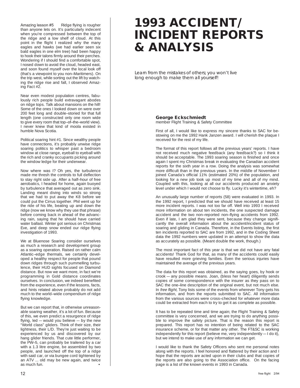Amazing lesson #5 Ridge flying is rougher than anyone lets on. It's particularly indecent when you're compressed between the top of the ridge and a low shelf of cloud. At this point in the flight I realized why the many eagles and hawks (we had earlier seen six bald eagles in one elm tree) had been happy to hook their talons firmly around their perches. Wondering if I should find a comfortable spot, I nosed down to avoid the cloud, headed east, and soon found myself over the local look off (that's a viewpoint to you non–Maritimers). On the trip west, while sorting out the lift by watching the ridge rise and fall, I observed Amazing Fact #2.

Near even modest population centres, fabulously rich people build extravagant abodes on ridge tops. Talk about mansions on the hill! Some of the ones I looked down on were over 200 feet long and double–storied for that full length (one constructed only one room wide to give every room that top–of–the–world view). I never knew that kind of moola existed in humble Nova Scotia.

Political soaring hint #1. Since wealthy people have connections, it's probably unwise ridge soaring politics to whisper past a bedroom window at close range, eyeball to eyeball with the rich and cranky occupants picking around the window ledge for their underwear.

Now where was I? Oh yes, the turbulence made me thresh the controls to full deflection to stay right side up. After a half–hour of free aerobatics, I headed for home, again buoyed by turbulence that averaged out as zero sink. Landing meant diving into winds so strong that we had to put away the K8 before we could put the Cirrus together. Phil went up for the ride of his life, beating up and down the ridge (now we know why they use that phrase) before coming back in ahead of the advancing rain, saying that he should have carried water ballast. Winter got serious on Christmas Eve, and deep snow ended our ridge flying investigation of 1993.

We at Bluenose Soaring consider ourselves as much a research and development group as a soaring operation. Raised on rather calm Atlantic–edge thermals, we certainly developed a healthy respect for people that pound down ridges through such pummelling turbulence, their HUD sights focused on Diamond distance. But now we want more, in fact we're programming in Gold distance coordinates ourselves. In conclusion, we indeed benefited from the experience, even if the lessons, facts, and hints related above probably do not add much to the world–wide compendium of ridge flying knowledge.

But we can report that, in otherwise unreasonable soaring weather, it's a lot of fun. Because of this, we even predict a resurgence of ridge flying, led — would you believe — by the new "World class" gliders. Think of their size, their lightness, their L/D. They're just waiting to be experienced by us and discovered by our hang glider friends. That cute little performer, the PW–5, can probably be trailered by a car with a 1.3 litre engine, be assembled by two people, and launched off the top of a ridge with said car, or via bungee cord tightened by an ATV ... old may be new again, and twice as much fun.

## **1993 ACCIDENT/ INCIDENT REPORTS & ANALYSIS**

Learn from the mistakes of others; you won't live long enough to make them all yourself!

## **George Eckschmiedt**

member Flight Training & Safety Committee

First of all, I would like to express my sincere thanks to SAC for bestowing on me the 1992 Hank Janzen award. I will cherish the plaque I received for the rest of my life.

The format of this report follows all the previous years' reports. I have not received much negative feedback (any feedback?) so I think it should be acceptable. The 1993 soaring season is finished and once again I spent my Christmas break in evaluating the Canadian accident reports for the sixth year in a row. Doing the analysis was somewhat more difficult than in the previous years. In the middle of November I joined Canada's official 11% (estimated 20%) of the population, and looking for a new job took up most of my time and all of my mind. Coupled with this, looking at all our accidents produced an anxiety level under which I would not choose to fly. Lucky it's wintertime, eh?

An unusually large number of reports (58) were evaluated in 1993. In the 1992 report, I predicted that we should have received at least 15 more incident reports. I was not too far off. Well into 1993 I received more information on about ten incidents, the one suspected damage accident and the two non–reported non–flying accidents from 1992. Even if late, I am glad they were sent, because they change significantly the overall information about the accident/incident status of soaring and gliding in Canada. Therefore, in the Events listing, the first ten incidents reported to SAC are from 1992, and in the Coding Sheet data the 1992 numbers were updated in an attempt to show the data as accurately as possible. (Meant double the work, though.)

The most important fact of this year is that we did not have any fatal accidents! Thank God for that, as many of the accidents could easily have resulted more grieving families. Even the serious injuries have maintained the average of the previous years.

The data for this report was obtained, as the saying goes, by hook or crook — any possible means. Joan, (bless her heart) diligently sends copies of some correspondence with the insurer as they pass on to SAC the one–line description of the original event, but not much else. In free flight, Tony lists some of the events from wherever Tony gets his information, and from the reports submitted to SAC. All information from the various sources were cross–checked for whatever more data could be extracted from each to try to get it as complete as possible.

It has to be repeated time and time again; the Flight Training & Safety committee is very concerned, and we are trying to do anything possible to improve the safety picture. That is the reason this report is prepared. This report has no intention of being related to the SAC insurance scheme, or for that matter any other. The FT&SC is working independently for this report (believe me, very independently — I do it), but we intend to make use of any information we can get.

I would like to thank the Safety Officers who sent me personal notes along with the reports. I feel honored and flattered by their action and I hope that the reports are acted upon in their clubs and that copies of the reports are also going to the Association office. On the facing page is a list of the known events in 1993 in Canada.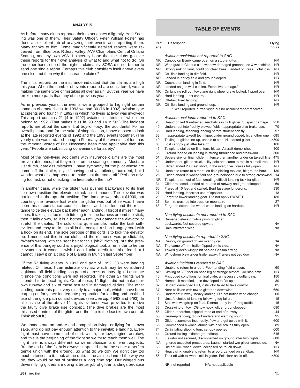## **ANALYSIS**

As before, many clubs reported their experiences diligently. York Soaring was one of them. Their Safety Officer, Peter William Foster has done an excellent job of analyzing their events and reporting them. Many thanks to him. Some magnificently detailed reports were received from Bluenose, Rideau Valley, AVV Champlain, Central Ontario Soaring, and my own VSA. I sincerely hope that the clubs go over these reports for their own analysis of what to and what not to do. On the other hand, one of the highest claimants, SOSA did not bother to send one single report. Perhaps this club considers itself above every one else; but then why the insurance claims?

The initial reports on the insurance indicated that the claims are high this year. When the number of events reported are considered, we are making the same type of mistakes all over again. But this year we have broken more parts than any of the previous years.

As in previous years, the events were grouped to highlight certain common characteristics. In 1993 we had 30 (16 in 1992) aviation type accidents and four (7 in 1992) in which no flying activity was involved! This report contains 21 (4 in 1992) aviation incidents, of which ten belong to 1992. (That makes it 11 in '93 and 14 in '92.) The incident reports are about the same, but boy–oh–boy, the accidents! For an overall picture and for the sake of simplification, I have chosen to look at the late reported events of 1992 and the 1993 events together. (The yearly data was updated though.) For many of the events, seldom has the immortal words of Eric Newsome been more applicable than this year, "People are substituting convenience for safety."

Most of the non–flying accidents with insurance claims are the most preventable ones, but they reflect on the soaring community. Most are just dumb, careless mistakes. I have sympathy for the pilot whose tire came off the trailer, myself having had a trailering accident, but I wonder what else happened to make that tire come off? Perhaps driving too fast, or not checking the tires before the trip?

In another case, while the glider was pushed backwards to its final tie down position the elevator struck a dirt mound. The elevator was not locked in the upright position. The damage was about \$1000, not counting the revenue lost while the glider was out of service. I have seen this circumstance countless times, and I understand the reluctance to tie the elevator back after each landing. I forgot it myself many times. It takes just too much fiddling to tie the harness around the stick, then it falls down, so it is a bother – until you damage the elevator or stretch the cables. The solution is quite simple, make the task self– evident and easy to do. Install in the cockpit a short bungey cord with a hook on its end. The sole purpose of this cord is to lock the elevator up. I mentioned this in our club and the response was predictable, "What's wrong with the seat belt for this job?" Nothing, but the presence of this bungey cord is a psychological tool, a reminder to tie the elevator up. It works. I wish I could take credit for this idea, but I cannot, I saw it on a couple of Blaniks in Munich last September.

Of the 52 flying events in 1993 and part of 1992, 33 were landing related. Of these, I can estimate only six which may be considered legitimate off–field landings as part of a cross–country flight. I estimate it since the conditions were not reported. The other 27 flights were intended to be local flights. Out of these, 12 flights did not make their own runway and six of these resulted in damaged gliders. The other landing accidents point very clearly to a major fault, which I have been harping on for years: inadequate preparation for landing and unskilled use of the glide path control devices (see free flight 5/93 and 6/93). In at least six of the above 12 flights evidence was provided to derive the faulty dive brake use concept. (The dive brakes are the most mis–used controls of the glider and the flap is the least known control. Think about it.)

We concentrate on badge and competition flying, or flying for its own sake, and do not pay enough attention to the inevitable landing. Every flight must have some kind of start: winch, car tow, engine, aerotow, and this is the beginning of the flight so we try to teach them well. The flight itself is always different, so we emphasize its different aspects. But the end of the flight is always supposed to be the same: a perfect gentle union with the ground. So what do we do? We don't pay too much attention to it. Look at the data. If the airlines landed the way we do, they would be out of business a long time ago. Our winged bus drivers flying gliders are doing a better job of glider landings because

## **TABLE OF EVENTS**

| Pilot<br>age | Description                                                                                                                                     | Flying<br>hours        |
|--------------|-------------------------------------------------------------------------------------------------------------------------------------------------|------------------------|
|              | Aviation accidents not reported to SAC                                                                                                          |                        |
| ΝR           | Canopy on Blanik came open on a stop-and-turn.                                                                                                  | <b>NR</b>              |
| ΝR           | Wind gust in Citabria side window damaged greenhouse & windshield.                                                                              | <b>NR</b>              |
| ΝR           | Strong sink on final, could not clear trees. Landed on trees. Total loss.                                                                       | <b>NR</b>              |
| NR.          | Off-field landing in dirt field.                                                                                                                | <b>NR</b>              |
| ΝR<br>NR     | Landed in barley field and groundlooped.<br>Crashed on landing in field.                                                                        | <b>NR</b><br><b>NR</b> |
| NR           | Landed on gas well cut line. Extensive damage.*                                                                                                 | <b>NR</b>              |
| NR           | On landing roll out, towplane right wheel brake locked, flipped over.                                                                           | <b>NR</b>              |
| NR           | Hard landing - lost control.                                                                                                                    | <b>NR</b>              |
| NR           | Off-field hard landing.                                                                                                                         | <b>NR</b>              |
| NR.          | Off-field landing and ground loop.                                                                                                              | <b>NR</b>              |
|              | * Well reported in free flight, but no accident report received.                                                                                |                        |
| 28           | Aviation accidents reported to SAC                                                                                                              | 250                    |
| 40           | Unauthorized & untrained aerobatics in club glider. Suspect damage.<br>Undershoot into freshly plowed field; inappropriate dive brake use.      | 70                     |
| 35           | Hard landing, teaching landing before student can fly.                                                                                          | 97                     |
| 38           | Inappropriate takeoff technique, glider groundlooped, hit another one                                                                           | 685                    |
| 40           | Taxiing to glider line-up, unable to stop. Hit parked glider.                                                                                   | >800                   |
| 63           | Lost canopy just after take off.                                                                                                                | 186                    |
| 45           | Towplane stalled on final turn, hit car. Aircraft demolished.                                                                                   | 400                    |
| 65           | Ground looped on landing in strong turbulence and crosswind.                                                                                    | 500                    |
| 51           | Severe sink on final, glider hit fence then another glider on takeoff line.                                                                     | 475                    |
| 49           | Undershoot, glider struck utility pole and came to rest in a small tree.                                                                        | <b>NR</b>              |
| 70           | Glider landed 200 feet short, in the river; dive brakes fully open.                                                                             | <b>NR</b>              |
| 31           | Unable to return to airport, left field picking too late, hit ground hard.                                                                      | 130                    |
| 25<br>ΝR     | Glider landed in wheat field and groundlooped due to strong crosswind.<br>Towplane ran out of fuel, creating difficult landing task for glider. | 14<br><b>NR</b>        |
| 31           | Glider released, landed at the end of runway and groundlooped.                                                                                  | 69                     |
| 60           | Flared at 10 feet and stalled. Bent fuselage longerons.                                                                                         | 330                    |
| 27           | Hard landing, incorrect use of spoilers.                                                                                                        | 18                     |
| 20           | Forgot to lower landing gear. Did not apply SWAFTS.                                                                                             | 180                    |
| 27           | Spin-in, crashed into trees on mountain.                                                                                                        | 27                     |
| 63           | Forgot to extend the wheel when landing on hardtop.                                                                                             | <b>NR</b>              |
| NA           | Non flying accidents not reported to SAC                                                                                                        |                        |
|              | Damaged elevator while pushing glider<br>backwards. Not secured upward.                                                                         | NA                     |
| NA           | Rain infiltrated wing.                                                                                                                          | <b>NA</b>              |
|              | Non flying accidents reported to SAC                                                                                                            |                        |
| NA           | Canopy on ground driven over by car.                                                                                                            | ΝA                     |
| <b>NA</b>    | Tire came off rim, trailer flipped on its side.                                                                                                 | <b>NA</b>              |
| NA           | Towed glider's wingtip hit parked Cessna's wing.                                                                                                | ΝA                     |
| ΝA           | Windstorm blew glider trailer away. Trailers not tied down                                                                                      | ΝA                     |
|              | Aviation incidents reported to SAC<br>Unable to return to airport. Poor landing field chosen.                                                   | 60                     |
| 25<br>NR.    | Circling at 300 feet on base leg at strange airport. Collision path.                                                                            | <b>NR</b>              |
| 40           | Misjudged conditions for final glide, unnecessary outlanding.                                                                                   | 150                    |
| 30           | Homebuilt modified, spin developed to flat spin.                                                                                                | 80                     |
| 67           | Student developed PIO, instructor failed to take control.                                                                                       | 85                     |
| 37           | Near collision with towed glider on downwind.                                                                                                   | 650                    |
| 35           | Undershot runway, heavy landing. Did not notice wind change.                                                                                    | 60                     |
| 17           | Unsafe choice of landing following tug failure.                                                                                                 | 15                     |
| 17           | Stall with wingdrop on final. Distracted by interfering traffic.                                                                                | 15                     |
| 38           | Crosswind on tow, CG tow hook, glider groundlooped.                                                                                             | 680                    |
| 55           | Glider undershot, clipped trees at end of runway.                                                                                               | 44                     |
| 55           | Gear-up landing; did not understand warning sound.                                                                                              | 95                     |
| 73<br>65     | Glider assembled incorrectly, flew and got away with it.<br>Commenced a winch launch with dive brakes fully open.                               | 600<br>89              |
| 74           | On initiating slipping turn, canopy opened.                                                                                                     | 600                    |
| 44           | Ground taxiing initiated groundloop.                                                                                                            | 515                    |
| 48           | Elevator not secured, disconnected on ground after two flights.                                                                                 | 800                    |
| <b>NA</b>    | Ignored accepted procedures. Launch started w/o glider connected.                                                                               | <b>NA</b>              |
| 63           | Did not lock wheel down, collapsed on touch down.                                                                                               | <b>NR</b>              |
| 40           | Heavy sink, unable to return to airport. Landed on sandbar.                                                                                     | <b>NR</b>              |
| 58           | Took off with tailwheel still in glider. Fell clear on lift off.                                                                                | >800                   |

NR: not reported NA: not applicable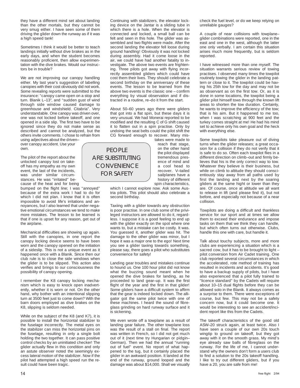they have a different mind set about landing than the other mortals, but they cannot be very smug either. I have seen some of them driving the glider down the runway as if it was a high speed tank!

Sometimes I think it would be better to teach landings initially without dive brakes as in the early days, and when the student becomes reasonably proficient, then allow experimentation with the dive brakes. Would our instructors be in trouble?

We are not improving our canopy handling either. My last year's suggestion of labelling canopies with their cost obviously did not work. Some revealing reports were submitted to the insurance: "canopy came open on a stop and turn. Blanik L–13", and "sudden gust of wind through side window caused damage to greenhouse and windshield. Citabria". Very understandable. One canopy was driven over, one was not locked before takeoff, and one opened in a side slip. The first two have to be ignored since they do not make sense as described and cannot be analyzed, but the others invite comments. I chose to refrain from

using adjectives about the driven– over canopy accident. Use your own.

The pilot of the report about the unlocked canopy lost on takeoff has my empathy as my own event, the last of the incidents, was under similar circumstances. He was "irritated" because of the heat and for being

bumped on the flight line; I was "annoyed" because of the extra work I had to do for which I did not plan. I know that it is often impossible to avoid life's irritations and annoyances, but I also learned that under negative emotional circumstances we tend to make more mistakes. The lesson to be learned is that if one is upset for any reason, get out of the airplane.

Mechanical difficulties are showing up again. Still with the canopies, in one report the canopy locking device seems to have been worn and the canopy opened on the initiation of a sideslip. This is not a unique event as it happened once with a Blanik. Since then our club rule is to close the side windows when the glider is to be slipped. This action also verifies and brings to our consciousness the possibility of canopy opening.

I remember the K8 canopy locking mechanism which is easy to knock open inadvertently, whether it is worn or not. On the other hand, why bother with an intentional slipping turn at 3500 feet just to come down? With the barn doors employed as dive brakes on the K8, slipping is seldom needed.

While on the subject of the K8 (and K7), it is possible to install the horizontal stabilizer to the fuselage incorrectly. The metal eyes on the stabilizer can miss the horizontal pins on the fuselage, resulting in only a single bolt holding the two together. It can pass positive control checks by an uninitiated checker! The glider actually flew in this condition and only an astute observer noted the seemingly excess lateral motion of the stabilizer. Now if the pilot had attempted a high speed run the result could have been tragic.

Continuing with stabilizers, the elevator locking device on the Jantar is a sliding tube in which there is a hole. When the elevator is connected and locked, a small ball can be felt and seen in this hole. The glider was assembled and two flights were made. After the second landing the elevator fell loose during ground handling! Obviously it was not locked during assembly. Had it come loose in the air, we could have had another fatality to investigate. The above two events are frightening. Three pilots got away with flying incorrectly assembled gliders which could have cost them their lives. They should celebrate a second birthday on the anniversary of these events. The lesson to be learned from the above two events is the classic one – confirm everything by visual observation and if distracted in a routine, re–do it from the start.

About 50–60 years ago there were gliders that got into a flat spin, but these days it is very unusual. We had Monerai reported to be modified and the resulting C of G shift caused it to flatten out in a spin practise. Only by undoing the seat belts could the pilot shift the CG forward enough to recover. Many mis-

PEOPLE ARE SUBSTITUTING **CONVENIENCE** FOR SAFETY

takes were made to reach that stage, on the other hand the pilot displayed tremendous presence of mind and a cool head to recover. V–tailed sailplanes have a history of different spin characteristics,

which I cannot explore now. Ask some Austria pilots. This pilot should also celebrate a second birthday.

Taxiing with a glider towards any obstruction is poor practise. In one club some of the privileged instructors are allowed to do it, regardless. I suppose it is a good feeling to end up with the glider exactly on the spot where one wants to, but a mistake can be costly. It was. You guessed it, another glider was hit. The damage to the other glider was minor, but I hope it was a major one to the ego! Next time you see a glider taxiing towards something, please say, there goes a pilot who substitutes convenience for safety!

Landing gear troubles and mistakes continue to hound us. One 100 hour pilot did not know what the buzzing sound meant when he opened the dive brakes for landing, as he proceeded to land gear–up. It was the first flight of the year and the first in that glider! Some gliders have a difficult system to affirm that the gear is indeed locked down. The alligator got the same pilot twice with one of these machines. I heard the sound of fibreglass grinding on hard runway surface and it is sickening.

We even wrote off a towplane as a result of landing gear failure. The other towplane loss was the result of a stall on final. The report was written in French, so I did not get much out of it (next time try Hungarian or pidgin– German). Then we had the annual "running out of fuel" event. No report of what happened to the tug, but it certainly placed the glider in an awkward position. It landed at the end of the runway, ground looped and the damage was about \$14,000. Shall we visually check the fuel level, or do we keep relying on unreliable gauges?

A couple of near collisions with towplane– glider combinations were reported, one in the east and one in the west, although the latter one only verbally. I am certain this situation arises much more frequently, but is seldom reported.

I have witnessed more than one myself. The situation warrants serious review of towing practises. I observed many times the towpilot routinely towing the glider in the landing pattern or close to it. The towpilot could be having his 25th tow for the day and may not be as observant as on the first tow. Or, as it is done in some locations, the towpilot being a glider pilot himself tows through the known lift areas to shorten the tow duration. Certainly, he wants to improve the efficiency of the tow; that is his aim. But it happened to me too, when I was scratching at 900 feet and the turkey comes straight at me! He had his mind set to achieve only his own goal and the heck with everything else.

Some towpilots take pleasure out of diving turns when the glider releases; a great occasion for a collision if they do not verify that it is safe to do so. Often each towpilot flies in a different direction on climb–out and firmly believes that his is the only correct way to tow. Whatever they believe is their business, but while on climb to altitude they should conscientiously stay away from all paths used by first the landing and next by the soaring gliders at the same hight or lower than they are. Of course, once at altitude we all want to release in lift (and please find it), but not before, and especially not because of a near collision.

Towpilots are doing a difficult and thankless service for our sport and at times we allow them to exceed their endurance and impose tasks on them that we think they can handle, but which often turns out otherwise. Clubs, handle this one with care, but handle it.

Talk about touchy subjects, more and more clubs are experiencing a situation which is a sacred cow, but it has to be brought to light – pilot conversion from Air Cadet training. One club reported several circumstances in which the accelerated, rote method of training has resulted in incidents and accidents. It's good to have a backup supply of pilots, but I have also experienced that a pilot fully trained to "licence standard" by the Cadets will require about 10–15 dual flights before they can be allowed solo in the Blanik. It always comes as a surprise to them. There were exceptions of course, but few. This may not be a safety concern now, but it could become one. It would be interesting to see an accident/incident report like this from the Cadets.

The takeoff characteristics of the good old ASW–20 struck again, at least twice. Also I have seen a couple of our own 20s touch wingtip to ground on takeoff, but they got away with it on the smooth grass. My mind's eye already saw balls of fibreglass on the runway. For the life of me, I cannot understand why the owners don't form a users club to find a solution to the 20s takeoff handling. I like to try out different gliders, but if you have a 20, you are safe from me!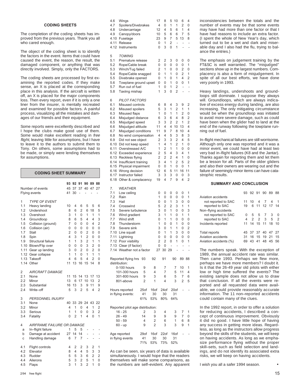## **CODING SHEETS**

The completion of the coding sheets has improved from the previous years. Thank you all who cared enough.

The object of the coding sheet is to identify the factors in the event. Items that could have caused the event, the reason, the result, the damaged component, or anything that was directly involved. Simply, only the FACTORS.

The coding sheets are processed by first examining the reported codes. If they make sense, an X is placed at the corresponding place in this analysis. If the aircraft is written off, an X is placed for the major components loss. Then every report, even if it is only a one liner from the insurer, is mentally recreated and examined for possible factors. A painful process, visualizing all the mistakes and damages of our friends and their equipment.

Some reports were excellently described and I hope the clubs make good use of them. Some would make excellent reading in free flight, leaving little for assumptions, but I have to leave it to the authors to submit them to Tony. On others, some assumptions had to be made, or simply were lending themselves for assumptions.

|                | <b>CODING SHEET SUMMARY</b> |                     |                |                |                 |                |                |
|----------------|-----------------------------|---------------------|----------------|----------------|-----------------|----------------|----------------|
|                |                             | 93                  | 92             | 91             |                 | 90 89          | 88             |
|                | Number of events            | 45                  | 37             | 37             | 40              | 47             | 27             |
|                | Flying events               | 41                  | 30             |                |                 |                | ۰              |
| 1              | <b>TYPE OF EVENT</b>        |                     |                |                |                 |                |                |
| 1.1            | Heavy landing               | 10                  | 4              | 6              | 5               | 5              | 6              |
| 1.2            | Undershoot                  | 8                   | 6              | $\overline{2}$ | 6               | 18             | 5              |
| 1.3            | Overshoot                   | 3                   | 1              | 0              | $\mathbf{1}$    | 1              | 1              |
| 1.4            | Groundloop                  | 8                   | 6              | 5              | 4               | 4              | 3              |
| 1.5            | Collision (ground)          | 7                   | 0              | 0              | 0               | 4              | $\overline{2}$ |
| 1.6            | Collision (air)             | $\Omega$            | 0              | 0              | $\Omega$        | $\Omega$       | $\overline{0}$ |
| 1.7            | Stall                       | $\overline{2}$<br>4 | 0              | 0              | $\overline{2}$  | 0              | 0              |
| 1.8            | Spin                        |                     | 3              | 1              | $\overline{2}$  | $\Omega$       | 0              |
| 1.9            | Structural failure          | 1                   | 1              | 3              | $\overline{2}$  | 1              | 1              |
| 1.10           | Blown/Flip over             | $\Omega$            | 0<br>0         | 0              | 3<br>0          | 2              | 0<br>0         |
| 1.11<br>1.12   | Gear up landing             | 3<br>1              | 1              | 2<br>0         | 1               | 2<br>1         | 1              |
| 1.13           | Gear collapse<br>Takeoff    | 4                   | 6              | 5              | 4               | $\overline{2}$ | 0              |
| 1.14           | Other                       | 11                  | 13             | 16             | 15              | 14             | 8              |
|                |                             |                     |                |                |                 |                |                |
| $\overline{2}$ | AIRCRAFT DAMAGE             |                     |                |                |                 |                |                |
| 2.1            | None                        | 11                  | 15             | 14             | 13              | 17             | 13             |
| 2.2            | Minor                       | 13                  | 6              | 17             | 10 <sup>1</sup> | 13             | 2              |
| 2.3            | Substantial                 | 16                  | 13             | 3              | 9               | 11             | 9              |
| 2.4            | Write-off                   | 5                   | 3              | $\overline{2}$ | 5               | 4              | $\overline{2}$ |
| 3              | PERSONNEL INJURY            |                     |                |                |                 |                |                |
| 3.1            | None                        | 40                  | 33             | 29             | 24              | 43             | 22             |
| 3.2            | Minor                       | 4                   | 1              | 0              | 4               | 1              | 2              |
| 3.3            | Serious                     | 1                   | 1              | 0              | 0               | 3              | $\overline{2}$ |
| 3.4            | Fatality                    | 0                   | $\overline{2}$ | 1              | 4               | 0              | 1              |
| 4              | AIRFRAME FAILURE OR DAMAGE  |                     |                |                |                 |                |                |
| a              | In-flight failure           | 1                   | 5              | 5              | L,              | -              |                |
| b              | Damage at accident          | 27                  | 14             | 14             |                 |                |                |
| C              | Handling damage             | 6                   | $\overline{7}$ | 7              | ä,              |                |                |
|                |                             |                     |                |                |                 |                |                |
| 4.1            | Flight controls             | 4                   | 2              | 2              | 3               | 2              | 1              |
| 4.2            | Elevator                    | 8                   | 4              | 4              | 5               | 3              | 3              |
| 4.3            | Rudder                      | 5                   | 5              | 3              | 6               | $\overline{2}$ | $\overline{2}$ |
| 4.4            | Ailerons                    | 5                   | 3              | $\overline{2}$ | 5               | 1              | 0              |
| 4.5            | Flaps                       | 3                   | 1              | 3              | $\overline{2}$  | 1              | 0              |

| 4.6<br>4.7<br>4.8<br>4.9<br>4.10<br>4.11<br>4.12                                                                                         | Wings<br>Spoilers/Divebrakes<br>Undercarriage<br>Canopy/doors<br>Fuselage<br>Release<br>Instruments                                                                                                                                                                                                                                                                                                           |                   |                   | 17<br>4<br>12<br>10<br>23<br>0<br>0                                                                     | 8<br>0<br>4<br>5<br>9<br>1<br>3                                                        | 5<br>1<br>5<br>6<br>7<br>2<br>0                                                        | 10<br>1<br>6<br>6<br>5<br>÷<br>1                                                                      | 6<br>2<br>1<br>7<br>13<br>$\overline{a}$                                                  | 4<br>0<br>4<br>5<br>8<br>$\overline{a}$                                                 |
|------------------------------------------------------------------------------------------------------------------------------------------|---------------------------------------------------------------------------------------------------------------------------------------------------------------------------------------------------------------------------------------------------------------------------------------------------------------------------------------------------------------------------------------------------------------|-------------------|-------------------|---------------------------------------------------------------------------------------------------------|----------------------------------------------------------------------------------------|----------------------------------------------------------------------------------------|-------------------------------------------------------------------------------------------------------|-------------------------------------------------------------------------------------------|-----------------------------------------------------------------------------------------|
| 5<br>5.1<br>5.2<br>5.3<br>5.4<br>5.5<br>5.6<br>5.7<br>5.8                                                                                | <b>TOWING</b><br>Premature release<br>Rope/Cable break<br>Winch/Tug failed<br>Rope/Cable snagged<br>Divebrake opened<br>Towplane ground upset<br>Run out of fuel<br>Taxiing mishap                                                                                                                                                                                                                            |                   |                   | 2<br>0<br>2<br>0<br>0<br>0<br>1<br>1                                                                    | 2<br>0<br>1<br>1<br>1<br>0<br>0<br>3                                                   | 3<br>0<br>0<br>1<br>0<br>1<br>1<br>0                                                   | 0<br>0<br>0<br>0<br>1<br>0<br>2<br>2                                                                  | 0<br>0<br>2<br>2<br>4<br>0<br>L,<br>Ĭ.                                                    | 0<br>1<br>0<br>1<br>2<br>1<br>ä,                                                        |
| 6<br>6.1<br>6.2<br>6.3<br>6.4<br>6.5<br>6.6<br>6.7<br>6.8<br>6.9<br>6.10<br>6.11<br>6.12<br>6.13<br>6.14<br>6.15<br>6.16<br>6.17<br>6.18 | PILOT FACTORS<br>Misused controls<br>Misused spoilers<br>Misused flaps<br>Misjudged distance<br>Misjudged speed<br>Misjudged altitude<br>Misjudged conditions<br>No wind compensation<br>Did not see object<br>Did not keep speed<br>Overstressed A/C<br>Exceeded experience<br>Reckless flying<br>Insufficient training<br>Physical impairment<br>Wrong decision<br>Instructor failed<br>Other & complacency |                   |                   | 6<br>5<br>1<br>6<br>3<br>11<br>11<br>4<br>2<br>1<br>1<br>$\overline{2}$<br>2<br>3<br>0<br>12<br>3<br>19 | 8<br>3<br>0<br>3<br>3<br>4<br>9<br>4<br>3<br>4<br>2<br>5<br>2<br>4<br>0<br>6<br>3<br>4 | 4<br>1<br>1<br>6<br>2<br>4<br>7<br>5<br>3<br>1<br>1<br>4<br>2<br>1<br>1<br>5<br>3<br>7 | 3<br>2<br>1<br>4<br>$\overline{2}$<br>10<br>8<br>3<br>2<br>2<br>1<br>3<br>4<br>2<br>0<br>11<br>0<br>9 | 9<br>1<br>2<br>8<br>1<br>13<br>10<br>8<br>4<br>1<br>0<br>4<br>1<br>5<br>0<br>16<br>0<br>4 | 2<br>1<br>0<br>2<br>2<br>4<br>4<br>3<br>5<br>0<br>0<br>1<br>0<br>2<br>1<br>11<br>3<br>2 |
| 7.<br>7.1<br>7.2<br>7.3<br>7.4<br>7.5<br>7.6<br>7.7<br>7.8<br>7.9<br>7.10                                                                | WEATHER<br>Low ceiling<br>Rain<br>Hail<br>Crosswind<br>Severe turbulence<br>Wind gradient<br>Wind shift<br>Thunderstorm<br>Severe sink<br>Line squall<br>7.11 Lightning<br>7.12 Poor visibility<br>7.13 Clear (if factor)<br>7.14 Weather not a factor<br>Reported flying hrs                                                                                                                                 | 93                | 92                | 0<br>1<br>0<br>5<br>3<br>3<br>0<br>1<br>3<br>0<br>0<br>2<br>0<br>27                                     | 0<br>0<br>0<br>2<br>0<br>1<br>1<br>0<br>0<br>1<br>0<br>2<br>0<br>30 29<br>91           | 0<br>0<br>1<br>2<br>1<br>1<br>1<br>0<br>1<br>$\overline{1}$<br>0<br>0                  | 0<br>0<br>3<br>3<br>0<br>0<br>0<br>1<br>1<br>3<br>0<br>1<br>90                                        | 0<br>0<br>0<br>1<br>0<br>1<br>0<br>0<br>0<br>0<br>0<br>0<br>-<br>89                       | 1<br>1<br>0<br>1<br>3<br>1<br>0<br>0<br>2<br>0<br>0<br>1<br>88                          |
|                                                                                                                                          | distribution:<br>0-100 hours<br>101-300 hours                                                                                                                                                                                                                                                                                                                                                                 | 9<br>5            | 8<br>4            |                                                                                                         | 7<br>7                                                                                 |                                                                                        | 7<br>5                                                                                                | 10<br>11                                                                                  | 1<br>4                                                                                  |
|                                                                                                                                          | 301-800 hours<br>801-above                                                                                                                                                                                                                                                                                                                                                                                    | 9<br>2            | 3<br>1            |                                                                                                         | 6<br>4                                                                                 |                                                                                        | 5<br>3                                                                                                | 7<br>2                                                                                    | 6<br>5                                                                                  |
|                                                                                                                                          | Hours reported<br>in flying events:                                                                                                                                                                                                                                                                                                                                                                           | 25of<br>41<br>61% | 16of<br>30<br>53% |                                                                                                         | 24of<br>30<br>80%                                                                      |                                                                                        | 20of<br>31<br>64%                                                                                     |                                                                                           |                                                                                         |
|                                                                                                                                          | Reported pilot age distribution:<br>$16 - 25$<br>26 - 49<br>$50 - 59$<br>60 - up                                                                                                                                                                                                                                                                                                                              | 2<br>14<br>4<br>9 | 3<br>9<br>2<br>2  |                                                                                                         | 4<br>9<br>6<br>3                                                                       |                                                                                        | 3<br>9<br>1<br>3                                                                                      | 7<br>7<br>6<br>9                                                                          | 1<br>0<br>8<br>1                                                                        |
|                                                                                                                                          | Age reported<br>in flying events                                                                                                                                                                                                                                                                                                                                                                              | 29of<br>41<br>71% | 16of<br>30<br>53% |                                                                                                         | 22of<br>30<br>73%                                                                      |                                                                                        | 16of<br>31<br>52%                                                                                     |                                                                                           |                                                                                         |
|                                                                                                                                          | As can be seen, six years of data is available                                                                                                                                                                                                                                                                                                                                                                |                   |                   |                                                                                                         |                                                                                        |                                                                                        |                                                                                                       |                                                                                           |                                                                                         |

simultaneously. I would hope that the readers themselves will make some comparisons, as the numbers are self–evident. Any apparent

inconsistencies between the totals and the number of events may be that some events may have had more than one factor or that I have had reasons to include an extra factor. (I spent the whole of New Year's day, which turned out to be a wet and dark and miserable day and I also had the flu, trying to balance the entries.)

The emphasis on judgement training by the FT&SC is well warranted. The "misjudged" sections show up in the largest numbers. Complacency is also a form of misjudgement. In spite of all our best efforts, we have done very poorly in 1993.

Heavy landings, undershoots and groundloops still dominate. I suppose they always will. Groundloops, which are always indicative of excess energy during landing, are also increasing. The only mitigating circumstance would be when the groundloop was initiated to avoid more severe damage, such as could have been when the glider had to land at the end of the runway following the towplane running out of fuel.

In–flight mechanical failures are still worrisome. Although only one was reported and it was a minor event, we could have had at least two very bad in–flight failures (K8 and the Jantar). Thanks again for reporting them and let them be a lesson for all. Parts of the older gliders and also their owners are wearing out and the failure of seemingly minor items can have catastrophic results.

## **SUMMARY AND CONCLUSION**

|                        |    | 93 92 91 |                | 90 89       |                   | 88 |
|------------------------|----|----------|----------------|-------------|-------------------|----|
| Aviation accidents     |    |          |                |             |                   |    |
| not reported to SAC    | 11 | 10       | $\overline{4}$ | 74          |                   |    |
| reported to SAC        | 19 |          |                |             | 6 11 12 17 14     |    |
| Non-flying accidents   |    |          |                |             |                   |    |
| not reported to SAC    |    | 5        | 5              | 7           | 3                 | 0  |
| reported to SAC        | 4  | 2        |                | $2 \t3 \t5$ |                   | 2  |
| Incidents reported     | 11 | 14       |                |             | 15 11 18 10       |    |
|                        |    |          |                |             |                   |    |
| Total reports          |    |          |                |             | 45 37 37 40 47 27 |    |
| Aviation accidents     | 31 | 16       |                | 15 19 21    |                   | 15 |
| Aviation accidents (%) | 69 |          | 43 41          |             | 48 45             | 56 |

The numbers speak. With the exception of 1989, the annual accident rate was similar. Then came 1993. Perhaps we flew more, perhaps we have more members? I doubt it. Is it that the 26-49 year old pilots with either low or high time suffered the events? The existing sample does not allow us to draw that conclusion. If all the events were reported and all requested data were available, we could provide reasonably accurate information. The 11 non–reported accidents could contain many of the clues.

In the 1992 report, in order to offer a solution for reducing accidents, I described a concept of continuous improvement. Obviously it did no good. I have little hope of having any success in getting more ideas. Regardless, as long as the instructors allow progress beyond the skills of the students, we will keep on having accidents. As long as we emphasize performance flying without the proper skill–sets, such as field selection and landings, and do not identify its associated extra risks, we will keep on having accidents.

I wish you all a safer 1994 season.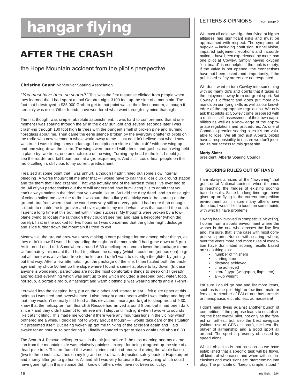# **hangar flying** LETTERS & OPINIONS from page 5

## **AFTER THE CRASH**

## the Hope Mountain accident from the pilot's perspective

## **Christine Gaunt**, Vancouver Soaring Association

"You must have been so scared!" This was the first response elicited from people when they learned that I had spent a cool October night 3100 feet up the side of a mountain. The fact that I destroyed a \$35,000 Grob to get to that point wasn't their first concern, although it certainly was mine. Other friends have wondered what went through my mind that night.

The first thought was simple, absolute astonishment. It was hard to comprehend that at one moment I was soaring through the air in the clear sunlight and several seconds later I was crash-ing through 100 foot high fir trees with the pungent smell of broken pine and burning fibreglass about me. Then came the eerie silence broken by the everyday chatter of pilots on the radio who now seemed a whole world away to me. I just couldn't believe that what I saw was true. I was sit-ting in my undamaged cockpit on a slope of about 40° with one wing up and one wing down the slope. The wings were pocked with dents and gashes, each wing held in place by two trees, one on each side of the wing. Turning my head to the left, I could just see the rudder and tail boom bent at a grotesque angle. And still I could hear people on the radio calling in, oblivious to my current predicament.

I realized at some point that I was unhurt, although I hadn't ruled out some slow internal bleeding. A worse thought hit me after that — I would have to call the glider club ground station and tell them that I had crashed. That was actually one of the hardest things I've ever had to do. All of you perfectionists out there will understand how humiliating it is to admit that you can't always maintain the ideal that you would like to. So I did the dirty deed, and an onslaught of voices hailed me over the radio. I was sure that a flurry of activity would be starting on the ground, but from where I sat the world was very still and very quiet. I had more than enough solitude to enable me to go over and over again in my mind what it was that caused the crash. I spent a long time at this but met with limited success. My thoughts were broken by a towplane trying to locate me (although they couldn't see me) and later a helicopter (which did, barely). I sat in the cockpit for two hours as I was concerned that the glider might dislodge and slide further down the mountain if I tried to exit.

Meanwhile, the ground crew was busy making a care package for me among other things, as they didn't know if I would be spending the night on the mountain (I had gone down at 5 pm). As it turned out, I did. Somewhere around 6:30 a helicopter came to lower the package to me. Unfortunately this meant that I had to jettison the canopy (which I could not get back on) to get out as there was a five foot drop to the left and I didn't want to dislodge the glider by getting out that way. After a few attempts, I got the package off the line. I then hauled both the package and my chute 50 feet up the slope where I found a semi–flat place to lay down. (In case anyone is wondering, parachutes are not the most comfortable things to sleep on.) I greatly appreciated everything which was sent up to me which included a sleeping bag, water, food, hot soup, a portable radio, a flashlight and warm clothing (I was wearing shorts and a T–shirt).

I crawled into the sleeping bag, put on the clothes and started to eat. I felt quite upset at this point as I was tired and overwhelmed. I also thought about bears while I was eating and hoped that they wouldn't normally find food at this elevation. I managed to get to sleep around 9:30. I knew that the helicopter from Search & Rescue had arrived around 8 pm, but it had been dark since 7 and they didn't attempt to retrieve me. I slept until midnight when I awoke to sounds like cats fighting. This made me wonder if there were any mountain lions in the vicinity which bothered me a while. I decided not to worry about it though — I would take care of the situation if it presented itself. But being woken up got me thinking of the accident again and I laid awake for an hour or so pondering it. I finally managed to get to sleep again until about 6:30.

The Search & Rescue helicopter was in the air just before 7 the next morning and my extraction from the mountain side was relatively painless, except for being dragged up the side of a dead pine tree. This produced the worst injuries that I had received during the whole fiasco (two to three inch scratches on my leg and neck). I was deposited safely back at Hope airport and shortly after got to go home. All and all I was very fortunate that everything which could have gone right in this instance did. I know of others who have not been so lucky. •

We must all acknowledge that flying at higher altitudes has significant risks and must be approached with respect. The symptoms of hypoxia — including confusion, tunnel vision, impaired judgement, euphoria and incoordination — have been experienced by more than one pilot at Cowley. Simply having oxygen "on–board" is not helpful if the tank is empty, if the valve is not opened, the connections have not been tested, and, importantly, if the published safety orders are not respected.

We don't want to turn Cowley into something with so many do's and don'ts that it takes all the enjoyment away from our great sport. But Cowley is different and does put more demands on our flying skills as well as our knowledge of the appropriate regulations. We only ask that pilots at Cowley come prepared with a realistic self–assessment of their own capabilities as well as a knowledge of the appropriate regulations and procedures. As one of Canada's premier soaring sites it's too valuable to lose. We all (not just Alberta pilots) have a responsibility to ensure we don't jeopardize our access to this great site.

## **Marty Slater**,

president, Alberta Soaring Council

## **SCORING RULES OUT OF HAND**

I am always amazed at the "lawyering" that goes on at National contests when it comes to reaching the fringes of existing scoring based results. Since I, a long time ago, have given up on flying in the current competition environment as I'm sure many others have done too, I would like to touch on some points with which I have problems.

Having been involved in competitive bicycling, I come from a sports environment where the winner is the one who crosses the line first and, I'm sure, that is the case with most competitive sports. Not so with soaring, where, over the years more and more rules of exception have dominated scoring results based on such things as:

- number of finishers
- starting time<br>• distance ach
- distance achieved
- time achieved
	- aircraft type (wingspan, flaps, etc)
- all–up weight

I'm sure I could go one and list more items, such as is the pilot high or low time, male or female, a member of FAI or not, has prostitis or menopause, etc. etc. etc. ad nauseam!

I don't mind flying against another bunch of competitors if the purpose leads to establishing the best overall pilot, not only as the fastest or furthest, but also the best navigator (without use of GPS or Loran), the best displayer of airmanship and a good sport all around. The sport is presently obsessed by speed alone.

What I object to is that as soon as we have established that a specific task will be flown, all kinds of whereases and wherewithalls, inclusions and exclusions etc. start coming into play. The principle of "keep it simple, stupid!"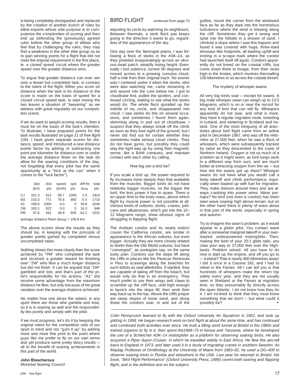is being completely disregarded and replaced  $\parallel$  BIRD FLIGHT continued from page 10 by the creation of another bunch of rules by elitist experts whose sole purpose is to computerize the complexities of scoring and then end up defending the (previously) agreed rules before the other group of elitists who feel that by challenging the rules, they may find a weakness in the other elite group so as to gain winning points for a flight that did not meet the original requirement in the first place, ie. a closed speed circuit where the greater speed over the greater distance wins.

To argue that greater distance can ever win over a lesser but completed task, is contrary to the intent of the flight. Either you score on distance when the task is for distance or the score is made on the basis of speed for a closed circuit speed task, to start mixing the two leaves a situation of "lawyering" as we witness with great regularity on our competition scene.

If we do want to weight scoring results, then it must be on the basis of the task's intention. To illustrate, I have prepared points for the task results illustrated on page 21 of free flight 1/94. I have given separate scores for distance, speed, and introduced a new distance points factor by adding or subtracting one point per kilometre for distance over or under the average distance flown on the task (to allow for the soaring conditions of the day, not forgetting that every pilot has the same opportunity at a "kick at the can" when it comes to the "luck factor").

|                | Dist<br>(km) | dist<br>pts | speed<br>(km/h) | pts  | spd diff fm total<br>davg | pts  |
|----------------|--------------|-------------|-----------------|------|---------------------------|------|
| CJ.            | 161.3        | 812         | 80.7            | 1000 | 2.5                       | 1815 |
| MZ.            | 153.3        | 771         | 76.6            | 950  | $-5.5$                    | 1716 |
| A <sub>1</sub> | 198.6        | 1000        | 0.0             | O    | 39.8                      | 1040 |
| 2W             | 183.1        | 922         | 0.0             | O    | 24.3                      | 946  |
| <b>PM</b>      | 976          | 491         | 48.8            | 605  | $-61.2$                   | 1031 |
|                |              |             |                 |      |                           |      |

average distance flown (davg) = 158.8 km

The above scores show the results as they should be, in keeping with the principle of greater points gained by completed versus uncompleted tasks.

Nothing shows this more clearly than the score achieved by "PM" who completed the task and received a greater reward for finishing over "2W" who flew a much longer distance but did not finish. It can be argued that "2W" gambled and lost, and that's part of the pilot's responsibility for his actions. "A1" did receive some advantage from the maximum distance he flew, but only because of his great variation over the average distance achieved.

No matter how one slices the salami, in any sport there are those who gamble and lose. so it is in soaring as well and the responsibility lies purely and simply with the pilot.

If we must progress, let's do it by keeping the original intent for the competitive side of our sport in mind and not "gum it up" by adding more and more fine print to the point where guys like me prefer to fly on our own terms and yet produce some pretty fancy results all to the benefit of soaring achievements in this part of the world.

## **John Bisscheroux**

Montreal Soaring Council

adjusting its circle by watching its neighbours. Between thermals, a stork flock just keeps going in the direction it wants to go, regardless of the appearance of the sky.

One day over the Serengeti plains, I was following a flock of storks in the ASK–14, as they plodded exasperatingly across an obvious dead patch, steadily losing height. Eventually I lost patience, turned 90 degrees and moved across to a growing cumulus cloud, half a mile from their original track. No sooner was I centered under it when the storks, who were also watching me, came streaming in and wound into the core below me. I got to cloudbase first, pulled the spoilers, and continued circling, waiting to see what the storks would do. The whole flock spiralled up the middle of my circle, and disappeared into cloud. I saw storks do this on several occasions, and sometimes I found them again, skimming along in and out of cloudbase. I suspect that they always break off the climb as soon as they lose sight of the ground, but I never did find out for certain whether they sometimes make serious cloud climbs. They do not have gyros, but possibly they could stay the right way up by using their magnetic sense, like a Bohli compass, and maintain contact with each other by calling.

## How big can a bird be?

If you scale a bird up, the power required to fly increases more steeply than that available from the muscles. Bigger birds do not have relatively bigger muscles, so the bigger the bird, the less power it has to spare. There is an upper limit to the body mass, above which flight by muscle power is not possible at all. Various kinds of vultures, storks, cranes, pelicans and albatrosses, which get into the 10– 12 kilograms range, show obvious signs of struggling in flapping flight.

The Andean condor and its nearly extinct cousin the California condor, are similar in appearance to the African vultures, but even bigger. Actually they are more closely related to storks than the Old World vultures, but have "converged", as zoologists say, on the same body plan. Condors use the slope lift along the cliffs in places like the Paracas Peninsula in Peru to scavenge along the beaches for such tidbits as seal afterbirths. If startled, they are capable of taking off from the beach, but would only do that in an emergency. They much prefer to use their wings and claws to scramble up the cliff face, until high enough to launch into the slope lift, then work their way back up to the top. Above the cliffs proper are steep slopes of loose sand, and along those the condors soar, in and out of the

gullies, round the corner from the windward face as far as they dare into the horrendous turbulence where the wind is blowing along the cliff. Sometimes they get it wrong and splat into the hillside in a shower of sand. I climbed a slope where I saw this happen and found it was covered with huge, three–toed dinosaur–like footprints, all leading uphill and ending in a scrape mark where the condor had launched itself off again. Condors apparently do not breed on the coastal cliffs, but come down there to forage, from their nests high in the Andes, which involves thermalling 100 kilometres or so across the coastal desert.

## The mystery of whooper swans

All very big birds soar — except for swans. A big male whooper swan can weigh up to 13.5 kilograms, which is on or near the record for any kind of bird that can still fly. Whoopers apparently do not soar, and what is more, they have a regular migration route, breeding in Iceland, and wintering in Scotland and Ireland. One of the most intriguing of all anecdotes about bird flight came from an airline pilot in December 1967, who was off the Hebrides at 27,000 feet, when he saw a flock of whoopers, which were subsequently tracked by radar as they descended to the coast of Northern Ireland. Oxygen is not so much of a problem as it might seem, as bird lungs work in a different way from ours, and are much better at extracting oxygen from thin air — but how did the swans get up there? Whooper swans do not have what you would call a lively takeoff and climb performance, especially when loaded up with fuel for migration. They make detours around trees and are always crashing into power wires. Wave perhaps? No bird (not even a condor) has been seen wave soaring high above terrain, but on the other hand there is plenty of wave about in that part of the world, especially in spring and autumn.

Try to imagine the swan's problem, as it would appear to a glider pilot. You contact wave after a somewhat marginal takeoff in your overloaded, underpowered motorglider. Then, making the best of your 20:1 glide ratio, you claw your way to 27,000 feet over the Highlands. Problem solved. All you have to do now is start up the engine, and off you go to — Iceland? That is nearly 900 kilometres away! I did it once in a Cessna 182, and I had to refuel in the Faroes. All I can tell you is that hundreds of whoopers make the return trip safely every year, and they are not usually seen in Shetland or the Faroes at migration time, so they presumably fly directly across the open Atlantic. I do not know how they do it. I am inclined to think that they must know something that we don't — but what could it possibly be?

Colin Pennycuick learned to fly with the Oxford University Air Squadron in 1952, and took up gliding in 1958. He began research work on bird flight at about the same time, and has continued and combined both activities ever since. He built a tilting wind tunnel at Bristol in the 1960s and trained pigeons to fly in it, then spent the1968–73 in Kenya and Tanzania, where he developed the use of a Schleicher ASK–14 motorglider as a platform for observing soaring birds. He also acquired a Piper Super–Cruiser, in which he travelled widely in East Africa. He flew this aircraft back to England in 1973, and later used it in a study of migrating cranes in southern Sweden. As Maytag Professor of Ornithology at the University of Miami from 1983–92, he used a DG–400 to observe soaring birds in Florida and elsewhere in the USA. Last year he returned to Bristol. His book, "Bird Flight Performance" (Oxford University Press, 1989) covers both soaring and flapping flight, and is the definitive text on the subject.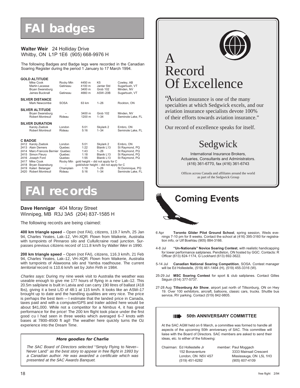## **FAI badges**

## **Walter Weir** 24 Holliday Drive Whitby, ON L1P 1E6 (905) 668-9976 H

The following Badges and Badge legs were recorded in the Canadian Soaring Register during the period 1 January to 17 March 1994.

|                                              | <b>GOLD ALTITUDE</b><br>Mike Cook<br>Martin Lacasse<br>Bryan Swansburg<br>James Bucknall                                                  | Rocky Mtn<br>Gatineau<br>Gatineau                 | 4450 m<br>4100 m<br>3400 m<br>4660 m | K <sub>5</sub><br>Jantar Std<br>Grob 102<br>ASW-20B                                                                                              | Cowley, AB<br>Sugarbush, VT<br>Minden, NV<br>Sugarbush, VT                        |
|----------------------------------------------|-------------------------------------------------------------------------------------------------------------------------------------------|---------------------------------------------------|--------------------------------------|--------------------------------------------------------------------------------------------------------------------------------------------------|-----------------------------------------------------------------------------------|
|                                              | <b>SILVER DISTANCE</b><br>Mark Newcombe                                                                                                   | <b>SOSA</b>                                       | 63 km                                | $1 - 26$                                                                                                                                         | Rockton, ON                                                                       |
|                                              | <b>SILVER ALTITUDE</b><br>Bryan Swansburg<br>Robert Montreuil                                                                             | Rideau                                            | 3400 m<br>1200 m                     | Grob 102<br>$1 - 34$                                                                                                                             | Minden, NV<br>Seminole Lake, FL                                                   |
|                                              | <b>SILVER DURATION</b><br>Karoly Zsebok<br>Robert Montreuil                                                                               | London<br>Rideau                                  | 5:01<br>5:16                         | Skylark 2<br>$1 - 34$                                                                                                                            | Embro, ON<br>Seminole Lake, FL                                                    |
|                                              | <b>C BADGE</b>                                                                                                                            |                                                   |                                      |                                                                                                                                                  |                                                                                   |
| 2413<br>2414<br>2415<br>2416<br>2417<br>2418 | 2412 Karoly Zsebok<br><b>Alain Demers</b><br>Marc-Francois Bernier, Quebec<br>Simon Fleury<br>Joseph Ford<br>Mike Cook<br>Bryan Swansburg | London<br>Quebec<br>Quebec<br>Quebec<br>Rocky Mtn | 5:01<br>1:22<br>1:43<br>1:18<br>1:55 | Skylark 2<br>Blanik L13<br>$1 - 26$<br>Blanik L13<br>Blanik L13<br>gold height - did not apply for C<br>gold/silver height - did not apply for C | Embro, ON<br>St Raymond, PQ<br>St Raymond, PQ<br>St Raymond, PQ<br>St Raymond, PQ |
| 2419<br>2420                                 | Kateri Belanger<br>Robert Montreuil                                                                                                       | Champlain<br>Rideau                               | 1:19<br>5:16                         | $1 - 26$<br>$1 - 34$                                                                                                                             | St Dominique, PQ<br>Seminole Lake, FL                                             |

## **FAI records**

## **Dave Hennigar** 404 Moray Street Winnipeg, MB R3J 3A5 (204) 837-1585 H

The following records are being claimed:

**400 km triangle speed** – Open (not FAI), citizens, 119.7 km/h, 25 Jan 94, Charles Yeates, Lak–12, VH–XQR. Flown from Waikerie, Australia with turnpoints of Pinnaroo silo and Cullullcraine road junction. Surpasses previous citizens record of 111.8 km/h by Walter Weir in 1990.

**200 km triangle speed** – Open (not FAI), citizens, 116.3 km/h, 21 Feb 94, Charles Yeates, Lak–12, VH–XQR. Flown from Waikerie, Australia with turnpoints of Alawoona silo and Yamba roadhouse. The current territorial record is 110.6 km/h set by John Firth in 1984.

Charles says: During my nine week visit to Australia the weather was useable enough to give me 177 hours of flying in a new Lak–12. This 20.5m sailplane is built in Latvia and can carry 190 litres of ballast (418 lbs), giving it a best L/D of 48:1 at 115 km/h. It looks like an ASW–17 brought up to date and the handling qualities are very nice. The price is perhaps the best item — I estimate that the landed price in Canada, taxes paid and with a computer/GPS and trailer added here would be about \$41,000. While not a competitor for a Nimbus 4, it has great performance for the price! The 200 km flight took place under the first good cu I had seen in three weeks which averaged 6–7 knots with bases at 7800–8500 ft agl! The weather here quickly turns the Oz experience into the Dream Time.

## **More goodies for Charlie**

The SAC Board of Directors selected "Simply Flying to Never– Never Land" as the best story to appear in free flight in 1993 by a Canadian author. He was awarded a certificate which was presented at the SAC Awards Banquet.



## A Record Of Excellence

"Aviation insurance is one of the many specialties at which Sedgwick excels, and our aviation insurance specialists devote 100% of their efforts towards aviation insurance."

Our record of excellence speaks for itself.

## Sedgwick

International Insurance Brokers, Actuaries, Consultants and Administrators. (416) 361-6770, fax (416) 361-6743

Offices across Canada and affiliates around the world as part of the Sedgwick Group

# **Coming Events**

- 6 Apr **Toronto Glider Pilot Ground School**, spring session, Weds evenings 7-10 pm for 8 weeks. Contact the school at (416) 395-3160 for registration info, or Ulf Boehlau (905) 884-3166.
- 4-8 Jul **"Un-Nationals" Novice Soaring Contest**, with realistic handicapping for lower performance sailplanes. Pendleton, ON hosted by GGC. Contacts: R Officer (613) 824-1174, G Lockhard (613) 692-3622.
- 5-14 Jul **Canadian National Soaring Competition**, SOSA. Contest manager will be Ed Hollestelle, (519) 461-1464 (H), (519) 455-3316 (W).
- 25-29 Jul **MSC Soaring Contest** for sport & club sailplanes. Contact Gilles Séguin (514) 377-5737.
- 27-28 Aug **Tillsonburg Air Show**, airport just north of Tillsonburg, ON on Hwy 19. Over 100 exhibitors, aircraft, balloons, classic cars, trucks. Shuttle bus service, RV parking. Contact (519) 842-9805.

## **SOUTHERRY COMMITTEE**

At the SAC AGM held on 6 March, a committee was formed to handle all aspects of the upcoming 50th anniversary of SAC. This committee will liaise with the Board of Directors. SAC members are asked to send their ideas, etc. to either of the following:

| Chairman: Ed Hollestelle Jr<br>152 Bonaventure | member: Paul Moggach<br>3333 Mainsail Crescent |
|------------------------------------------------|------------------------------------------------|
| London, ON N5V 4S7<br>(519) 451-6282           | Mississauga, ON L5L 1H3<br>(905) 607-4109      |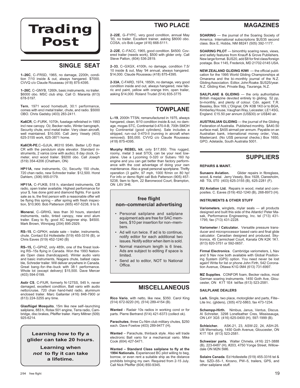## **Trading Post**

## **SINGLE SEAT**

**1–26C**, C–FRSD, 1965, no damage, 2200h, condition 7/10 inside & out, always hangared. \$7000. CVVQ c/o Claude Rousseau (418) 875-4395.

**1–26C**, C–GNYB, 1260h, basic instruments, no trailer. \$6000 obo. MSC club ship. Call O. Maranta (613) 678-5197.

**Tern**, 1971 wood homebuilt, 30:1 performance, comes with encl metal trailer, chute, and radio. \$5000 OBO. Chris Gadsby (403) 283-2411.

**Ka6CR**, C–FURK, 1070h, fuselage refinished in 1993 incl new canopy. O2, Becker radio, Winter barograph, Security chute, encl metal trailer. Very clean aircraft, well maintained. \$10,000. Call Jerry Vesely (403) 625-3155 work, 625-3871 home.

**Ka6CR-PE**,C–GJUA, #6310 954h. Better L/D than CR with the pendulum style elevator. Standard instruments, 2 varios (one with audio), 8 day clock, G– meter, encl wood trailer. \$9200 obo. Call Joseph (519) 354-4206 (Chatham, ON)

**HP11A**, new instruments, O2, Security 150 chute, 720 chan radio, new Schreder trailer. \$12,500. Horst Dahlem, (306) 955-0179.

**HP11A**, C–FUKB, 518 h, standard instruments, CB radio, open trailer available. Highest performance for your \$, has done gold and diamond flights. For quick sale as is, the first person with a reasonable offer will be flying this spring – after spring with fresh inspection, \$10,900. Bob Patterson (905) 457-5238, 9 to 9.

**Monerai**, C–GRHG, less than 30 hours, standard instruments, radio, tinted canopy, new encl alum trailer. Easy to fly, good XC beginner ship. \$4500. Mark Brown, Winnipeg (204) 895-2929.

**RS–15**, C–GPKH, estate sale – trailer, instruments, chute. Contact Ed Hollestelle (519) 455-3316 (B), or Chris Eaves (519) 452-1240 (B)

**RS–15,** C–GPHZ, only 485h, one of the finest looking RS–15s flying in Canada. Won the 1993 Nationals Open class (handicapped). Winter audio vario and basic instruments, Niagara chute, ballast capable, Schreder trailer. Will deliver anywhere in Canada. Great bang–for–the–buck with 38:1 performance. Whole lot (except delivery) \$15,500. Dave Mercer (403) 594-0199.

**Astir CS**, C-FIUR, formerly N-127SS, 545 h, never damaged, excellent condition, Ball vario with audio netto/cruise, 720 chan hand-held radio, aluminum enclosed trailer. Marc Gallanter (416) 848-7900 or (613) 224-3255 any time.

**Glasflügel Mosquito**, 15m like new self–launching sailplane, 883 h, Rotax 501 engine, Terra radio, Cambridge, disc brakes, Pfeiffer trailer. Harry Miltner (509) 925-6214.

**Learning how to fly a glider can take 20 hours.**

**Learning when** *not* **to fly it can take a lifetime.**

## **TWO PLACE**

**2–22E**, G–FYPC, very good condition, annual May '93, no trailer. Excellent trainer, asking \$8000 obo. COSA, c/o Bob Leger (416) 668-5111.

**2–22E**, C–FACC, 1965, good condition. \$4500. Covered trailer (needs work), \$500 with glider only. Call Steve Patton, (604) 536-2819.

**2–33**, C–GXGX, 4100h, no damage, condition 7.5/ 10 inside & out, May '94 annual, always hangared. \$14,000. Claude Rousseau (418) 875-4395.

**2-33A**, C-FARD, 1974, 1850h, no damage, very good condition inside and out, always hangared, new fabric and paint, yellow with orange trim, open trailer, asking \$14,000. Roland Trudel (514) 835-3775

## **TOWPLANE**

**L–19**, 2000h TTSN, remanufactured in 1975, always hangared, clean, 8/10 condition inside & out, no damage, mogas STC, Continental 0-470-II-B, 700h SMOH by Continental (good cylinders). Sale includes a stripped, run-out 0-470-II (running in aircraft when stripped, run–out 0-470-II (running in aircraft when removed). \$55,000. CVVQ c/o Claude Rousseau (418) 875-4395.

**Murphy REBEL kit**, only \$17,850. This rugged, roomy, metal 3 seat STOL can be your next towplane. Use a Lycoming 0-320 or Subaru 160 hp engine and you can get better than factory performance with the cost advantage of doing your own maintenance. Also a great personal sportplane. Thrifty operation (3 gal/hr, 97 mph, 1000 ft/min on 80 hp! For info or demo flight call Bob Patterson (905) 457- 5238, 9am to 9pm, 22 Baronwood Court, Brampton, ON L6V 3H6.

## **free flight non–commercial advertising**

- Personal sailplane and sailplane equipment ads are free for SAC members, \$10 per insertion for non–members.
- Ad will run twice. If ad is to continue, notify editor for each additional two issues. Notify editor when item is sold.
- Normal maximum length is 6 lines. Ads are subject to editing if space is limited.
- Send ad to editor, NOT to National Office.

## **MISCELLANEOUS**

**Rico Vario**, with netto, like new, \$350. Carol King (514) 672-9220 (H), (514) 289-4154 (B).

**Wanted** - Radair 10s radios in working cond or for parts. Pierre Bertrand (514) 421-6373 (collect ok).

**Parachutes**, three Cu Nim club military chutes, \$250 each. Dave Fowlow (403) 289-9477 (H).

**Wanted** – Parachute, thinback style. Also will trade electronic Ball vario for a mechanical vario. Mike Cook (604) 427-5471.

**Wanted – Standard Class sailplane to fly at the 1994 Nationals.** Experienced BC pilot willing to beg, borrow, or even rent a suitable ship as the distance prohibits bringing my own. Required from 2-15 July. Call Nick Pfeiffer (604) 850-9345.

**SOARING** — the journal of the Soaring Society of America. International subscriptions \$US35 second class. Box E, Hobbs, NM 88241 (505) 392-1177.

**SOARING PILOT** — bimonthly soaring news, views, and safety features from Knauff & Grove Publishers. New large format. \$US20, add \$8 for first class/foreign postage. Box 1145, Frederick, MD 21702-0145 USA.

**NEW ZEALAND GLIDING KIWI** — the official publication for the 1995 World Gliding Championships at Omarama and the bi–monthly journal of the N.Z. Gliding Association. Editor, John Roake. \$US25/year. N.Z. Gliding Kiwi, Private Bag, Tauranga, N.Z.

**SAILPLANE & GLIDING** — the only authoritative British magazine devoted entirely to gliding. 52 pp, bi-monthly, and plenty of colour. Cdn. agent: T.R. Beasley, Box 169, L'Orignal, ON K0B 1K0 or to BGA, Kimberley House, Vaughan Way, Leicester, LE1 4SG, England. £15.50 per annum (US\$30) or US\$40 air.

**AUSTRALIAN GLIDING** — the journal of the Gliding Federation of Australia. Published monthly. \$A40.50 surface mail, \$A55 airmail per annum. Payable on an Australian bank, international money order, Visa, Mastercard. (No US\$ personal checks.) Box 1650, GPO, Adelaide, South Australia 5001.

## **SUPPLIERS**

## **REPAIRS & MAINT.**

**Sunaero Aviation.** Glider repairs in fibreglass, wood, & metal. Jerry Vesely, Box 1928, Claresholm, AB T0L 0T0 (403) 625-3155 (B), 625-2281 (F).

**XU Aviation Ltd.** Repairs in wood, metal and composites. C. Eaves (519) 452-1240 (B), 268-8973 (H).

## **INSTRUMENTS & OTHER STUFF**

**Variometers**, winglets, mylar seals — all products designed and built this side of the Atlantic! Peter Masak, Performance Engineering, Inc. tel (713) 431- 1795; fax (713) 431-2228.

**Variometer / Calculator.** Versatile pressure transducer and microprocessor based vario and final glide calculator. Canadian designed and produced. Skytronics, 45 Carmichael Court, Kanata ON K2K 1K1. (613) 820-3751 or 592-0657.

**Firmal Electronics**. Cambridge variometers, L Nav and S Nav now both available with Global Positioning System (GPS) option. You need never be lost again! Write for list or phone John Firth, 542 Coronation Avenue, Ottawa K1G 0M4 (613) 731-6997.

**MZ Supplies**. CONFOR foam, Becker radios, most German soaring instruments. 1450 Goth Ave, Glou-cester, ON K1T 1E4 tel/fax (613) 523-2581.

## **SAILPLANE DEALERS**

**Lark.** Single, two place, motorglider and parts, Flite– Lite Inc. (gliders), (305) 472-5863, fax 473-1234.

**Schempp-Hirth.** Nimbus, Janus, Ventus, Discus. Al Schreiter, 3298 Lonefeather Cres, Mississauga, ON L4Y 3G5 (416) 625-0400 (H), 597-1999 (B).

**Schleicher.** ASK-21, 23, ASW-22, 24, ASH-25. Ulli Werneburg, 1450 Goth Avenue, Gloucester, ON K1T 1E4 (613) 523-2581.

**Schweizer parts.** Walter Chmela, (416) 221-3888 (B), 223-6487 (H), #203, 4750 Yonge Street, Willowdale ON M2N 5M6.

**Solaire Canada**. Ed Hollestelle (519) 455-3316 tel & fax. SZD–55–1, Krosno, PW–5, trailers, GPS, and other sailplane stuff.

## **MAGAZINES**